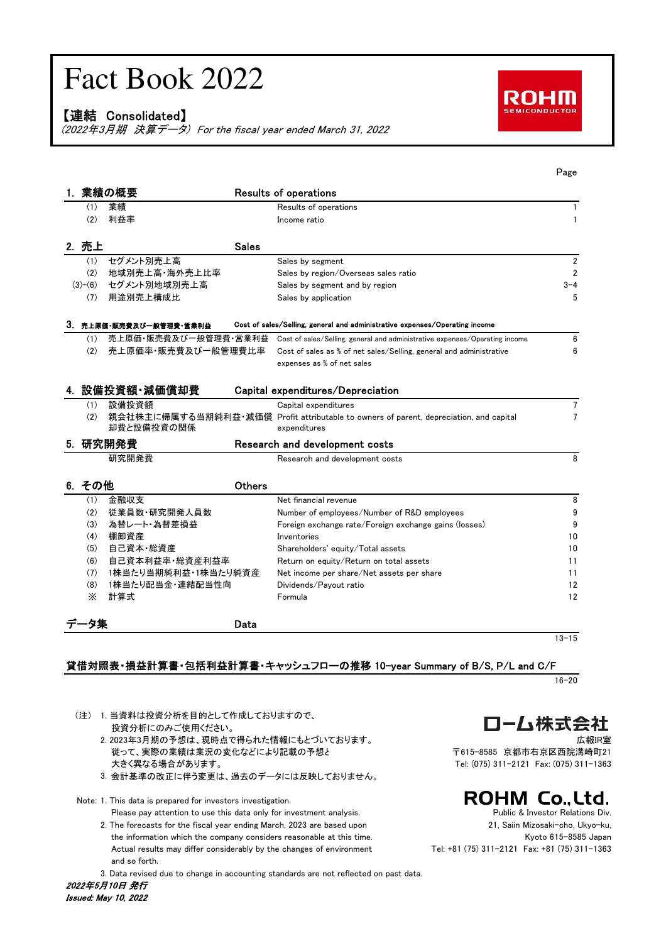# Fact Book 2022

【連結 Consolidated】

(2022年3月期 決算データ) For the fiscal year ended March 31, 2022



|    |           |                         |               |                                                                                                        | rage           |
|----|-----------|-------------------------|---------------|--------------------------------------------------------------------------------------------------------|----------------|
|    |           | 薬績の概要                   |               | <b>Results of operations</b>                                                                           |                |
|    | (1)       | 業績                      |               | Results of operations                                                                                  | $\mathbf{1}$   |
|    | (2)       | 利益率                     |               | Income ratio                                                                                           | $\mathbf{1}$   |
|    |           |                         |               |                                                                                                        |                |
|    | 2. 売上     |                         | <b>Sales</b>  |                                                                                                        |                |
|    | (1)       | セグメント別売上高               |               | Sales by segment                                                                                       | $\overline{2}$ |
|    | (2)       | 地域別売上高·海外売上比率           |               | Sales by region/Overseas sales ratio                                                                   | $\overline{2}$ |
|    | $(3)-(6)$ | セグメント別地域別売上高            |               | Sales by segment and by region                                                                         | $3 - 4$        |
|    | (7)       | 用途別売上構成比                |               | Sales by application                                                                                   | 5              |
|    |           | 3. 売上原価・販売費及び一般管理費・営業利益 |               | Cost of sales/Selling, general and administrative expenses/Operating income                            |                |
|    | (1)       |                         |               | 売上原価・販売費及び一般管理費・営業利益 Cost of sales/Selling, general and administrative expenses/Operating income       | 6              |
|    | (2)       | 売上原価率・販売費及び一般管理費比率      |               | Cost of sales as % of net sales/Selling, general and administrative                                    | 6              |
|    |           |                         |               | expenses as % of net sales                                                                             |                |
|    |           |                         |               |                                                                                                        |                |
|    |           | 4. 設備投資額・減価償却費          |               | Capital expenditures/Depreciation                                                                      |                |
|    | (1)       | 設備投資額                   |               | Capital expenditures                                                                                   | 7              |
|    | (2)       | 却費と設備投資の関係              |               | 親会社株主に帰属する当期純利益・減価償 Profit attributable to owners of parent, depreciation, and capital<br>expenditures | $\overline{7}$ |
| 5. |           | 研究開発費                   |               | Research and development costs                                                                         |                |
|    |           | 研究開発費                   |               | Research and development costs                                                                         | 8              |
|    | 6. その他    |                         | <b>Others</b> |                                                                                                        |                |
|    | (1)       | 金融収支                    |               | Net financial revenue                                                                                  | 8              |
|    | (2)       | 従業員数・研究開発人員数            |               | Number of employees/Number of R&D employees                                                            | 9              |
|    | (3)       | 為替レート・為替差損益             |               | Foreign exchange rate/Foreign exchange gains (losses)                                                  | 9              |
|    | (4)       | 棚卸資産                    |               | Inventories                                                                                            | 10             |
|    | (5)       | 自己資本 総資産                |               | Shareholders' equity/Total assets                                                                      | 10             |
|    | (6)       | 自己資本利益率 総資産利益率          |               | Return on equity/Return on total assets                                                                | 11             |
|    | (7)       | 1株当たり当期純利益・1株当たり純資産     |               | Net income per share/Net assets per share                                                              | 11             |
|    | (8)       | 1株当たり配当金 連結配当性向         |               | Dividends/Payout ratio                                                                                 | 12             |
|    | X         | 計算式                     |               | Formula                                                                                                | 12             |
|    |           |                         | Data          |                                                                                                        |                |
|    |           |                         |               |                                                                                                        | $13 - 15$      |

#### 貸借対照表・損益計算書・包括利益計算書・キャッシュフローの推移 10-year Summary of B/S, P/L and C/F

16-20

- (注) 1. 当資料は投資分析を目的として作成しておりますので、 投資分析にのみご使用ください。
	- 2. 2023年3月期の予想は、現時点で得られた情報にもとづいております。 ファイン インスタン しゅうしょう 広報IR室 従って、実際の業績は業況の変化などにより記載の予想と 〒615-8585 京都市右京区西院溝崎町21 大きく異なる場合があります。 Tel: (075) 311-2121 Fax: (075) 311-1363
	-
	- 3. 会計基準の改正に伴う変更は、過去のデータには反映しておりません。
- Note: 1. This data is prepared for investors investigation.
	- Please pay attention to use this data only for investment analysis. The example of the Public & Investor Relations Div. 2. The forecasts for the fiscal year ending March, 2023 are based upon 21, Saiin Mizosaki-cho, Ukyo-ku,
	- the information which the company considers reasonable at this time. The metal of the information which the company considers reasonable at this time. Actual results may differ considerably by the changes of environment Tel: +81 (75) 311-2121 Fax: +81 (75) 311-1363 and so forth.

3. Data revised due to change in accounting standards are not reflected on past data.

□一厶株式会社

# **ROHM Co., Ltd.**

Page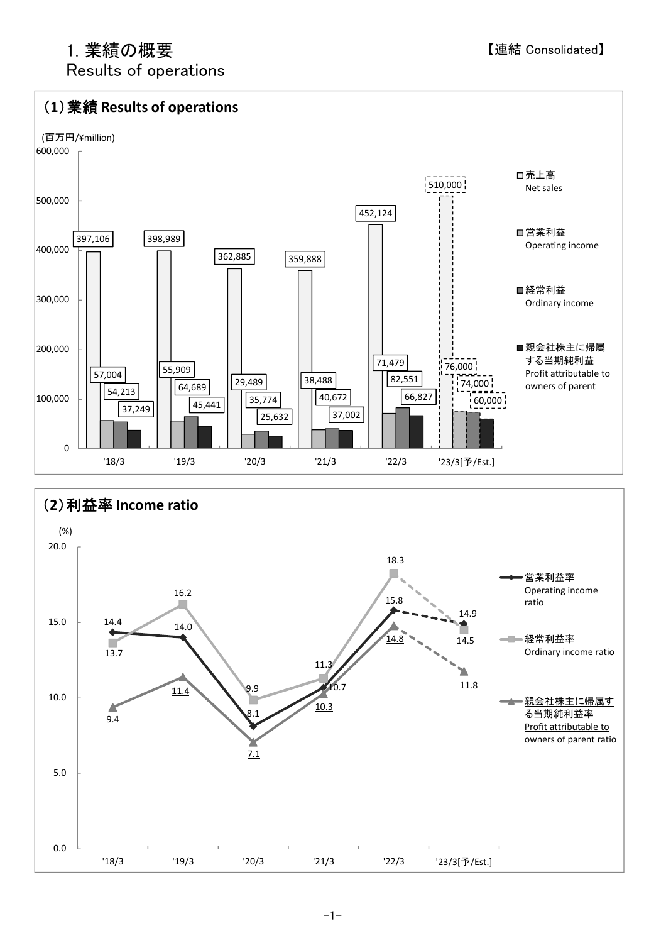# 1. 業績の概要

Results of operations

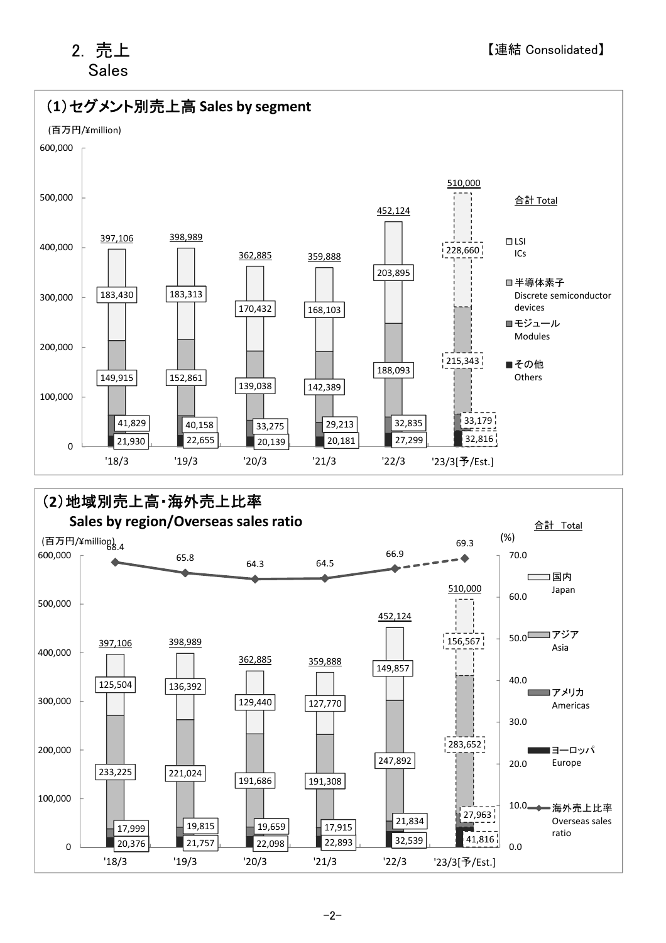# 2. 売上 Sales

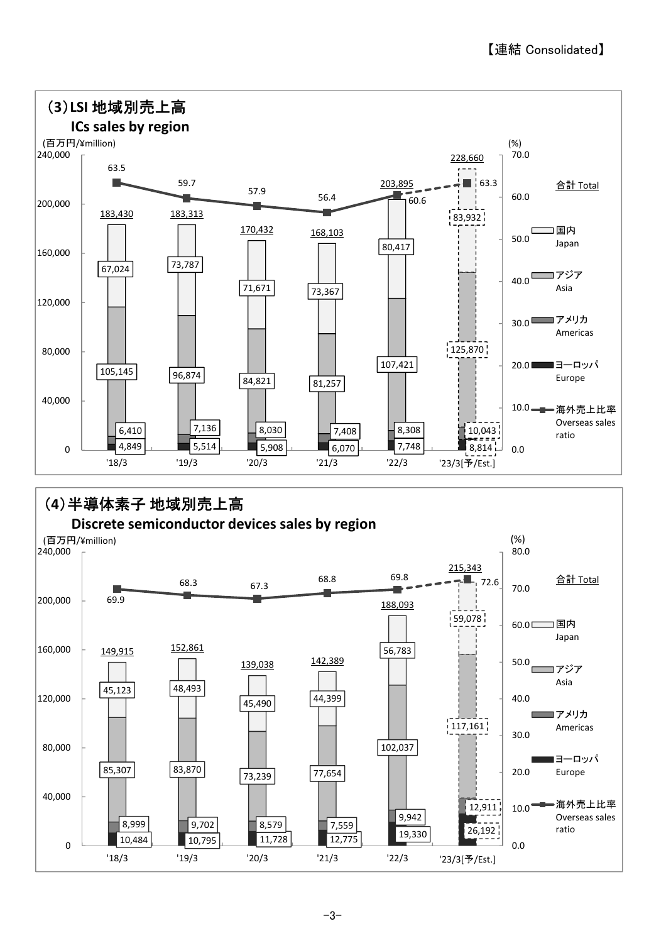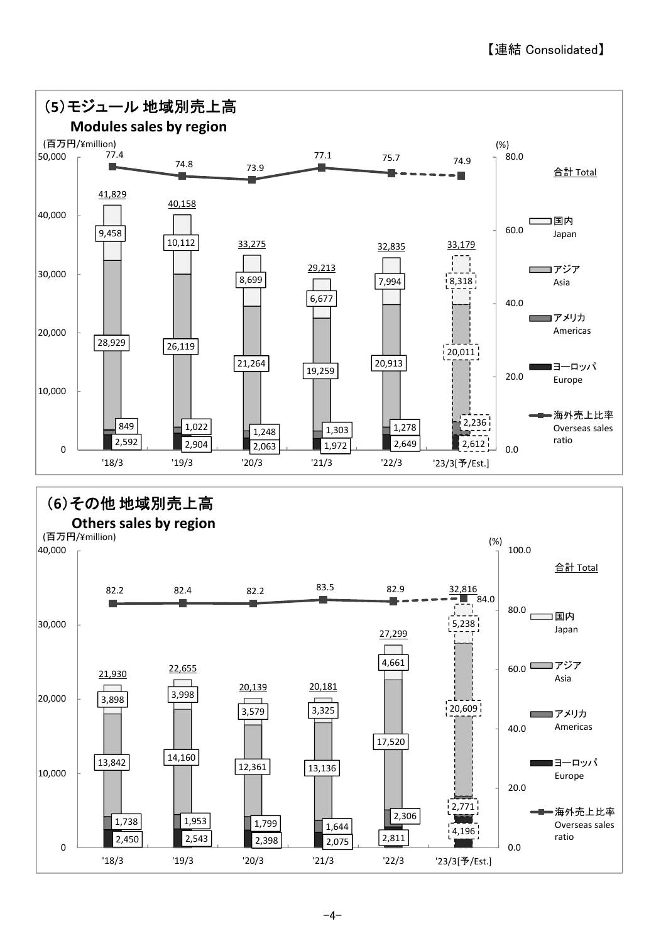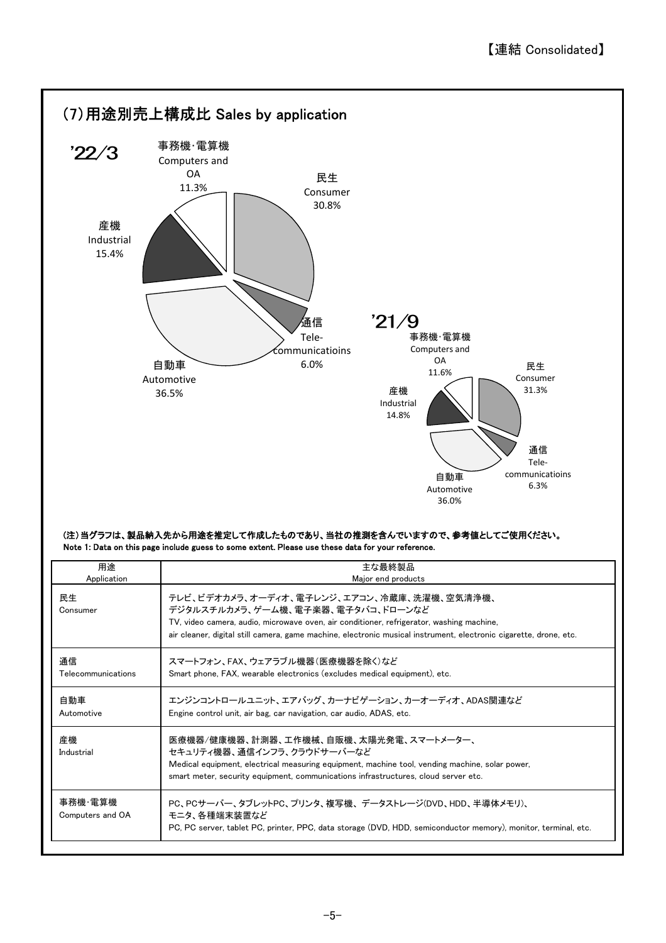

#### (注)当グラフは、製品納入先から用途を推定して作成したものであり、当社の推測を含んでいますので、参考値としてご使用ください。 Note 1: Data on this page include guess to some extent. Please use these data for your reference.

| 用途                          | 主な最終製品                                                                                                                                                                                                                                                                                           |
|-----------------------------|--------------------------------------------------------------------------------------------------------------------------------------------------------------------------------------------------------------------------------------------------------------------------------------------------|
| Application                 | Major end products                                                                                                                                                                                                                                                                               |
| 民生<br>Consumer              | テレビ、ビデオカメラ、オーディオ、電子レンジ、エアコン、冷蔵庫、洗濯機、空気清浄機、<br>デジタルスチルカメラ、ゲーム機、電子楽器、電子タバコ、ドローンなど<br>TV, video camera, audio, microwave oven, air conditioner, refrigerator, washing machine,<br>air cleaner, digital still camera, game machine, electronic musical instrument, electronic cigarette, drone, etc. |
| 通信                          | スマートフォン、FAX、ウェアラブル機器(医療機器を除く)など                                                                                                                                                                                                                                                                  |
| Telecommunications          | Smart phone, FAX, wearable electronics (excludes medical equipment), etc.                                                                                                                                                                                                                        |
| 自動車<br>Automotive           | エンジンコントロールユニット、エアバッグ、カーナビゲーション、カーオーディオ、ADAS関連など<br>Engine control unit, air bag, car navigation, car audio, ADAS, etc.                                                                                                                                                                           |
| 産機<br>Industrial            | 医療機器/健康機器、計測器、工作機械、自販機、太陽光発電、スマートメーター、<br>セキュリティ機器、通信インフラ、クラウドサーバーなど<br>Medical equipment, electrical measuring equipment, machine tool, vending machine, solar power,<br>smart meter, security equipment, communications infrastructures, cloud server etc.                                     |
| 事務機 雷算機<br>Computers and OA | PC、PCサーバー、タブレットPC、プリンタ、複写機、 データストレージ(DVD、HDD、半導体メモリ)、<br>モニタ、各種端末装置など<br>PC, PC server, tablet PC, printer, PPC, data storage (DVD, HDD, semiconductor memory), monitor, terminal, etc.                                                                                                          |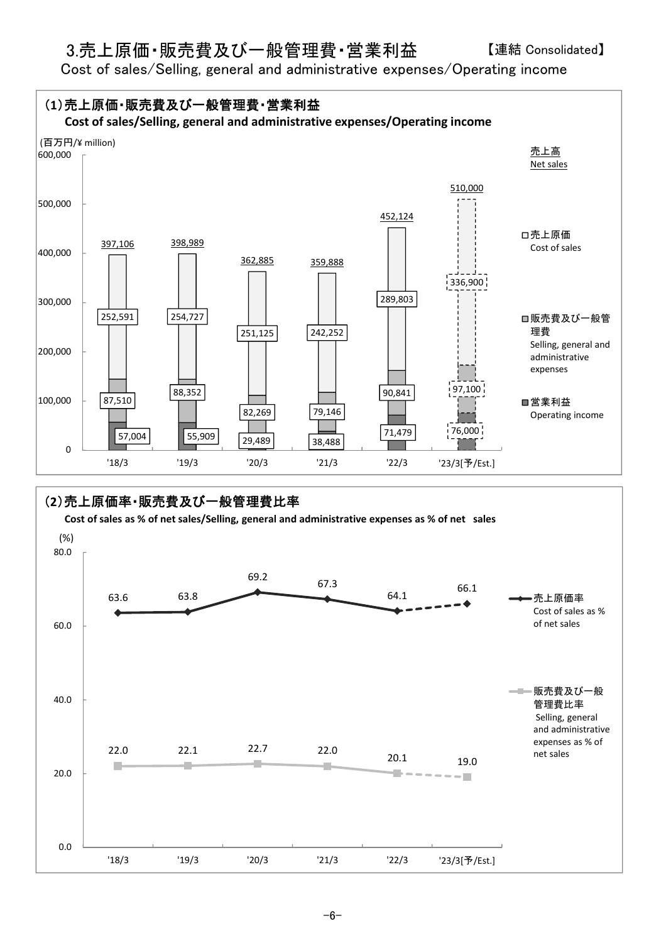## 3.売上原価・販売費及び一般管理費・営業利益

Cost of sales/Selling, general and administrative expenses/Operating income

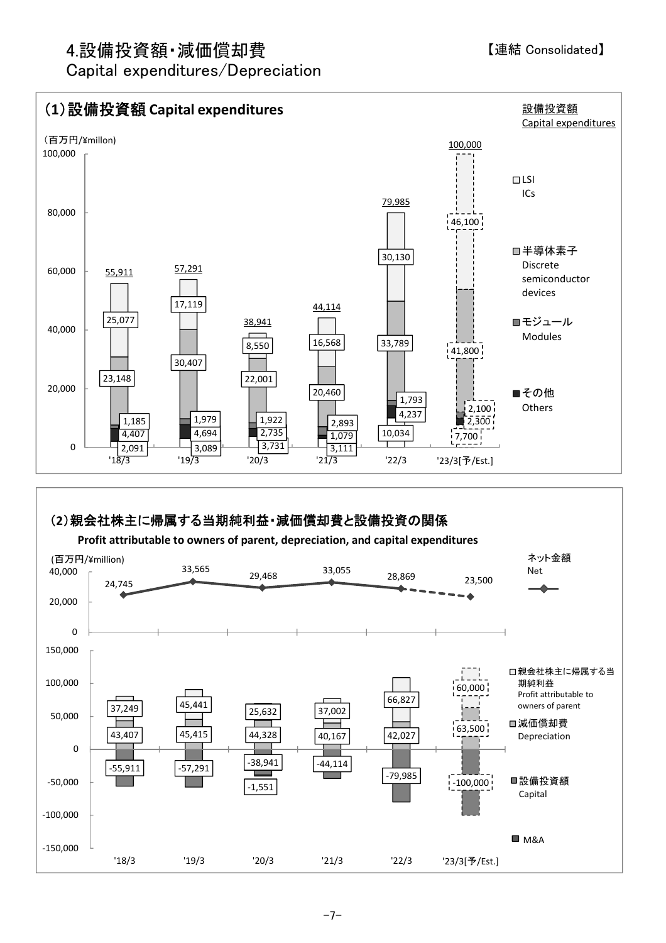# 4.設備投資額・減価償却費

Capital expenditures/Depreciation

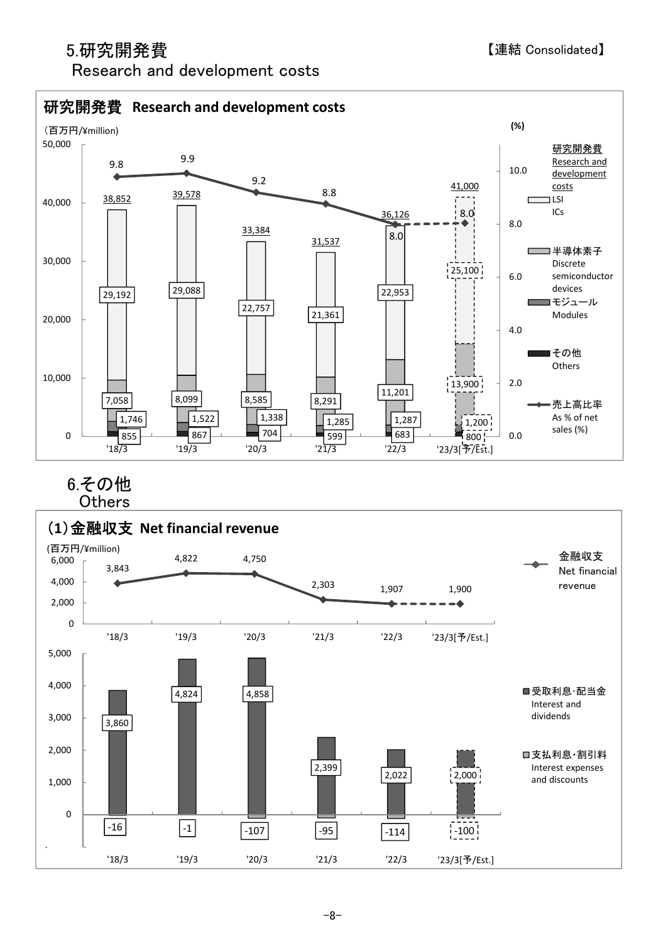# 5.研究開発費

-1,000

# Research and development costs



 $-16$   $-1$   $-107$   $-95$   $-114$   $-100$ 

'18/3 '19/3 '20/3 '21/3 '22/3 '23/3[予/Est.]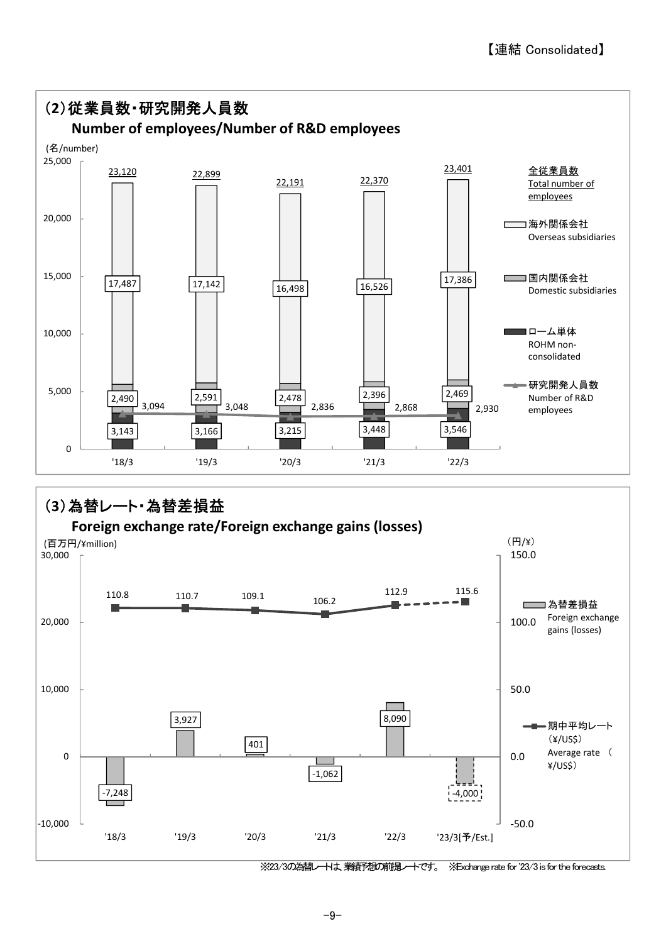

※23/3の為替レートは、業績予想の前提レートです。 ※Exchange rate for '23/3 is for the forecasts.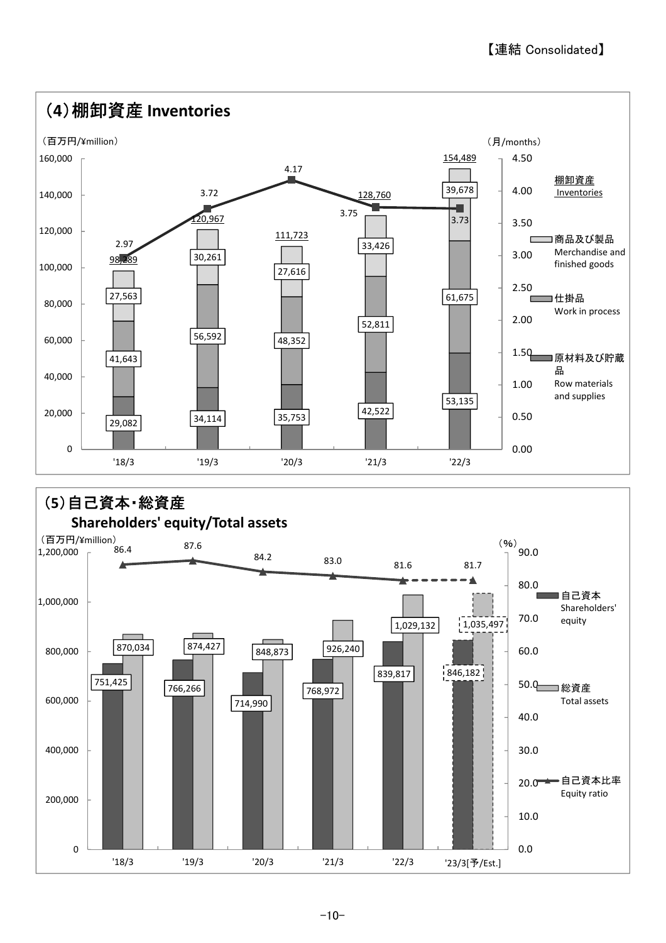

 $-10-$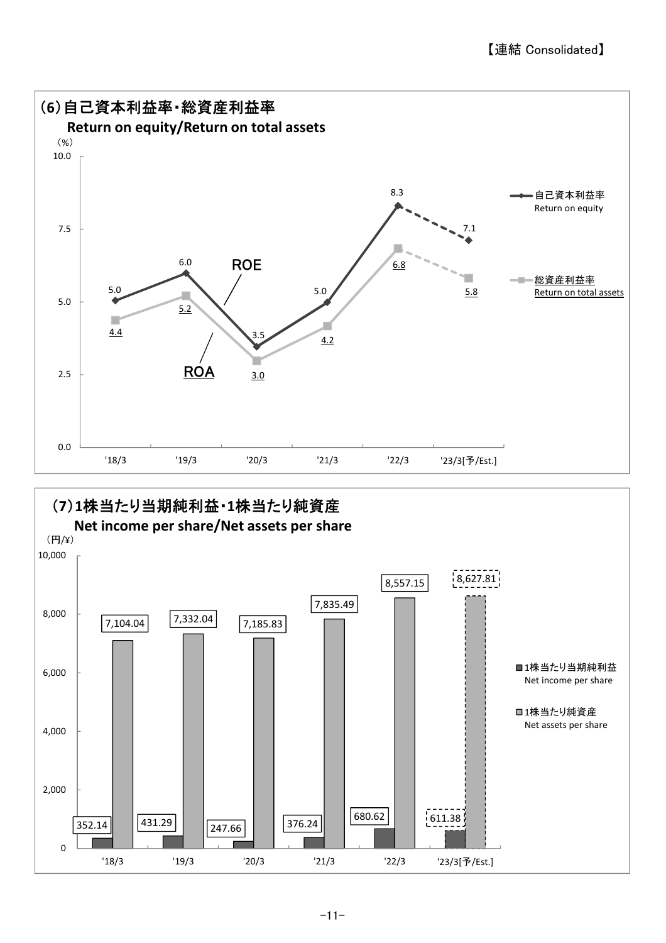

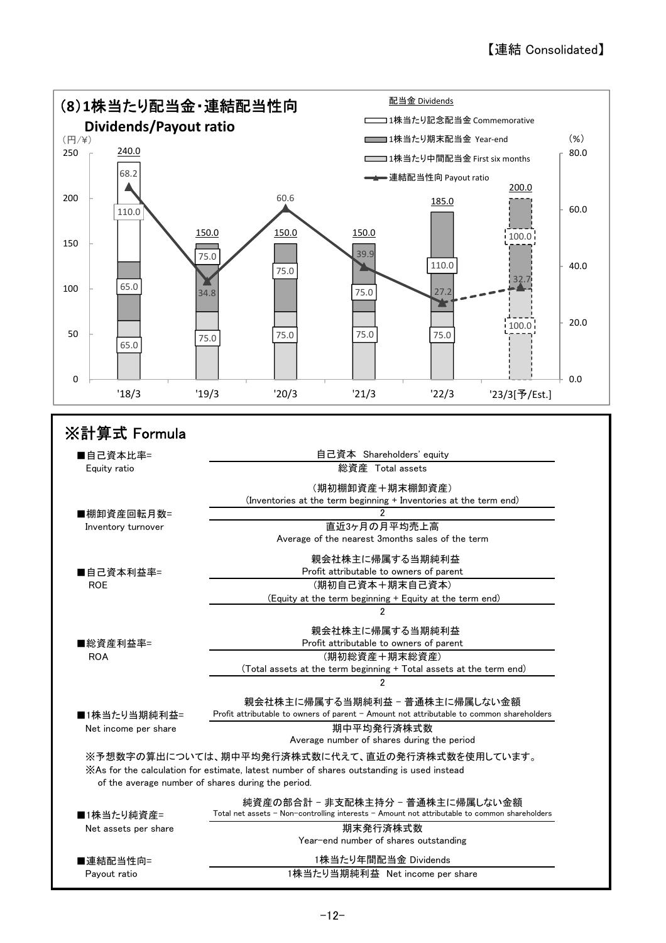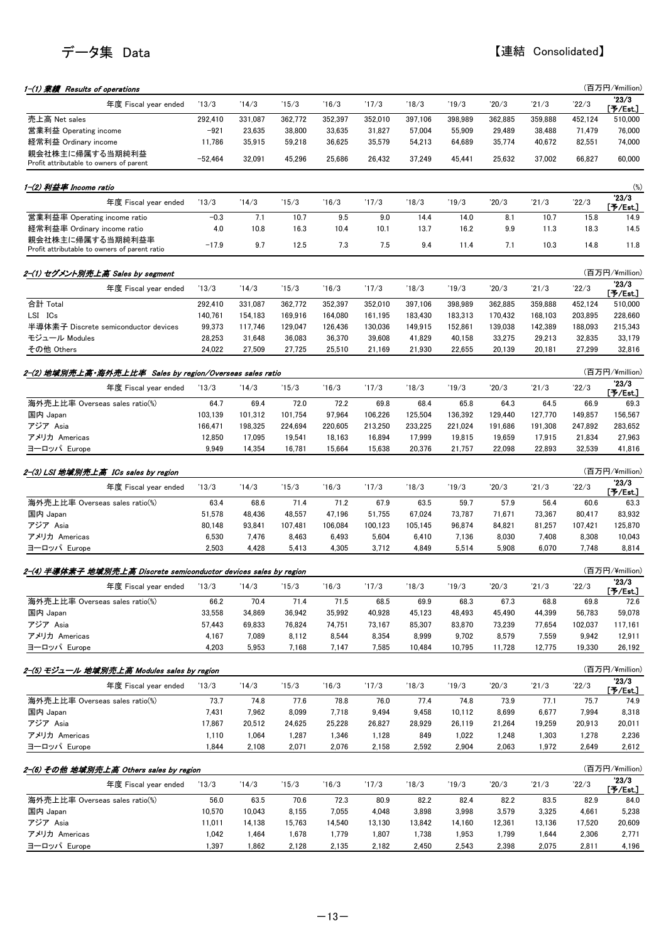| 23/3<br>'13/3<br>'14/3<br>'15/3<br>'16/3<br>18/3<br>19/3<br>20/3<br>21/3<br>22/3<br>年度 Fiscal year ended<br>'17/3<br>[予/Est.]<br>売上高 Net sales<br>397,106<br>362,885<br>292,410<br>331,087<br>362,772<br>352,397<br>352,010<br>398,989<br>359,888<br>452,124<br>510,000<br>営業利益 Operating income<br>$-921$<br>23,635<br>38,800<br>57.004<br>55,909<br>29,489<br>76,000<br>33,635<br>31,827<br>38,488<br>71,479<br>経常利益 Ordinary income<br>11,786<br>35,915<br>35,579<br>35,774<br>40,672<br>82,551<br>74,000<br>59,218<br>36,625<br>54,213<br>64,689<br>親会社株主に帰属する当期純利益<br>$-52,464$<br>32.091<br>45,296<br>25.686<br>26,432<br>37.249<br>25.632<br>37.002<br>66.827<br>60,000<br>45,441<br>Profit attributable to owners of parent<br>1-(2) 利益率 Income ratio<br>23/3<br>22/3<br>'13/3<br>'14/3<br>15/3<br>16/3<br>'17/3<br>18/3<br>19/3<br>20/3<br>21/3<br>年度 Fiscal year ended<br>[予/Est.]<br>営業利益率 Operating income ratio<br>$-0.3$<br>7.1<br>10.7<br>9.5<br>9.0<br>14.4<br>14.0<br>10.7<br>15.8<br>8.1<br>14.9<br>経常利益率 Ordinary income ratio<br>4.0<br>9.9<br>10.8<br>16.3<br>10.4<br>10.1<br>13.7<br>16.2<br>11.3<br>18.3<br>14.5<br>親会社株主に帰属する当期純利益率<br>$-17.9$<br>9.7<br>12.5<br>7.3<br>7.5<br>9.4<br>11.4<br>7.1<br>10.3<br>14.8<br>11.8<br>Profit attributable to owners of parent ratio<br>(百万円/¥million)<br>2-(1) セグメント別売上高 Sales by segment<br>23/3<br>'13/3<br>'14/3<br>'18/3<br>22/3<br>年度 Fiscal year ended<br>'15/3<br>16/3<br>'17/3<br>19/3<br>20/3<br>21/3<br>$[$ 予/Est $]$<br>合計 Total<br>362,772<br>352,397<br>352,010<br>397,106<br>398,989<br>362,885<br>292,410<br>331,087<br>359,888<br>452,124<br>510,000<br>LSI ICs<br>140,761<br>154,183<br>169,916<br>164,080<br>161,195<br>183,430<br>183,313<br>170,432<br>168,103<br>203,895<br>228,660<br>半導体素子 Discrete semiconductor devices<br>129,047<br>142,389<br>99,373<br>117,746<br>126,436<br>130,036<br>149,915<br>152,861<br>139,038<br>188,093<br>215,343<br>33,179<br>モジュール Modules<br>28,253<br>31,648<br>36,083<br>36,370<br>39,608<br>41,829<br>40,158<br>33,275<br>29,213<br>32,835<br>その他 Others<br>24,022<br>27,509<br>27,725<br>25,510<br>21,930<br>22,655<br>20,139<br>20,181<br>27,299<br>32,816<br>21,169<br>(百万円/¥million)<br>2-(2) 地域別売上高・海外売上比率  Sales by region/Overseas sales ratio<br>23/3<br>'16/3<br>'17/3<br>18/3<br>19/3<br>20/3<br>21/3<br>22/3<br>年度 Fiscal year ended<br>'13/3<br>'14/3<br>'15/3<br>$[$ 予/Est.]<br>海外売上比率 Overseas sales ratio(%)<br>64.7<br>72.0<br>72.2<br>69.4<br>69.8<br>68.4<br>65.8<br>64.3<br>64.5<br>66.9<br>69.3<br>156,567<br>国内 Japan<br>103,139<br>101,312<br>101,754<br>97,964<br>106,226<br>125,504<br>136,392<br>129,440<br>127,770<br>149,857<br>アジア Asia<br>166,471<br>198,325<br>233,225<br>247,892<br>283,652<br>224,694<br>220,605<br>213,250<br>221,024<br>191,686<br>191,308<br>アメリカ Americas<br>12,850<br>17,095<br>19,541<br>18,163<br>16,894<br>17,999<br>19,815<br>19,659<br>17,915<br>21,834<br>27,963<br>ヨーロッパ Europe<br>9,949<br>14,354<br>16,781<br>15,664<br>15,638<br>20,376<br>21,757<br>22,098<br>22,893<br>32,539<br>41,816<br>(百万円/¥million)<br>'23/3<br>'14/3<br>'16/3<br>22/3<br>年度 Fiscal year ended<br>'13/3<br>'15/3<br>'17/3<br>'18/3<br>19/3<br>20/3<br>21/3<br>$[$ 予/Est.]<br>海外売上比率 Overseas sales ratio(%)<br>63.4<br>71.4<br>71.2<br>67.9<br>63.5<br>59.7<br>57.9<br>68.6<br>56.4<br>60.6<br>63.3<br>国内 Japan<br>51,578<br>48,436<br>48,557<br>47,196<br>51,755<br>67,024<br>73,787<br>71,671<br>73,367<br>80,417<br>83,932<br>アジア Asia<br>80,148<br>93,841<br>106,084<br>105,145<br>96,874<br>81,257<br>125,870<br>107,481<br>100.123<br>84,821<br>107,421<br>アメリカ Americas<br>6,530<br>8,463<br>5,604<br>8,030<br>7,408<br>8,308<br>10,043<br>7,476<br>6,493<br>6,410<br>7,136<br>ヨーロッパ Europe<br>2,503<br>4,428<br>5,413<br>4,305<br>3,712<br>4,849<br>5,514<br>5,908<br>6,070<br>7.748<br>8,814<br>(百万円/¥million)<br>2-(4) 半導体素子 地域別売上高 Discrete semiconductor devices sales by region<br>23/3<br>'13/3<br>'14/3<br>'15/3<br>'16/3<br>'17/3<br>'19/3<br>20/3<br>'21/3<br>22/3<br>年度 Fiscal year ended<br>'18/3<br>[予/Est.]<br>海外売上比率 Overseas sales ratio(%)<br>66.2<br>70.4<br>71.4<br>71.5<br>68.5<br>69.9<br>68.3<br>67.3<br>68.8<br>69.8<br>72.6<br>59,078<br>国内 Japan<br>33,558<br>34,869<br>36,942<br>35,992<br>40,928<br>45,123<br>48,493<br>45,490<br>44,399<br>56,783<br>アジア Asia<br>57,443<br>69,833<br>76,824<br>74,751<br>73,167<br>85,307<br>83,870<br>73,239<br>77,654<br>102,037<br>117,161<br>アメリカ Americas<br>4,167<br>7,089<br>8,112<br>8,544<br>8,354<br>8,999<br>9,702<br>8,579<br>7,559<br>9,942<br>12,911<br>ヨーロッパ Europe<br>4,203<br>12,775<br>5,953<br>7,168<br>7,147<br>7,585<br>10,484<br>10,795<br>11,728<br>19,330<br>26,192<br>(百万円/¥million)<br>2-(5) モジュール 地域別売上高 Modules sales by region<br>23/3<br>'13/3<br>'14/3<br>'15/3<br>16/3<br>'17/3<br>'18/3<br>'19/3<br>20/3<br>21/3<br>年度 Fiscal vear ended<br>22/3<br>[予/Est.]<br>海外売上比率 Overseas sales ratio(%)<br>73.7<br>74.8<br>77.6<br>78.8<br>76.0<br>77.4<br>74.8<br>73.9<br>77.1<br>75.7<br>74.9<br>国内 Japan<br>7,431<br>6,677<br>7,962<br>8,099<br>7,718<br>9,494<br>9,458<br>10,112<br>8,699<br>7,994<br>8,318<br>アジア Asia<br>17,867<br>20,512<br>24,625<br>25,228<br>26,827<br>28,929<br>26,119<br>21,264<br>19,259<br>20,913<br>20,011<br>アメリカ Americas<br>1,110<br>1,064<br>1,287<br>1,346<br>1,128<br>849<br>1,022<br>1,248<br>1,303<br>1,278<br>2,236<br>ヨーロッパ Europe<br>1,844<br>2,071<br>2,076<br>2,158<br>2,592<br>2,904<br>2,063<br>1,972<br>2,649<br>2,108<br>(百万円/¥million)<br>2-(6) その他 地域別売上高 Others sales by region<br>'23/3<br>'13/3<br>'14/3<br>'15/3<br>'16/3<br>'17/3<br>'18/3<br>'19/3<br>20/3<br>21/3<br>22/3<br>年度 Fiscal year ended<br>$[$ 予/Est.]<br>海外売上比率 Overseas sales ratio(%)<br>56.0<br>63.5<br>70.6<br>72.3<br>80.9<br>82.2<br>82.4<br>82.2<br>83.5<br>82.9<br>84.0<br>国内 Japan<br>10,570<br>10,043<br>8,155<br>7,055<br>4,048<br>3,898<br>3,998<br>3,325<br>3,579<br>4,661<br>5,238<br>アジア Asia<br>11,011<br>14,138<br>15,763<br>14,540<br>13,130<br>13,842<br>14,160<br>12,361<br>13,136<br>20,609<br>17,520<br>アメリカ Americas<br>1,042<br>1,464<br>1,678<br>1,779<br>1,807<br>1,738<br>1,953<br>1,799<br>1,644<br>2,306<br>2,771<br>ヨーロッパ Europe<br>1,397<br>1,862<br>2,128<br>2,135<br>2,182<br>2,450<br>2,543<br>2,398<br>2,075<br>2,811<br>4,196 | 1-(1) 業績 Results of operations       |  |  |  |  |  | (百万円/¥million) |
|-----------------------------------------------------------------------------------------------------------------------------------------------------------------------------------------------------------------------------------------------------------------------------------------------------------------------------------------------------------------------------------------------------------------------------------------------------------------------------------------------------------------------------------------------------------------------------------------------------------------------------------------------------------------------------------------------------------------------------------------------------------------------------------------------------------------------------------------------------------------------------------------------------------------------------------------------------------------------------------------------------------------------------------------------------------------------------------------------------------------------------------------------------------------------------------------------------------------------------------------------------------------------------------------------------------------------------------------------------------------------------------------------------------------------------------------------------------------------------------------------------------------------------------------------------------------------------------------------------------------------------------------------------------------------------------------------------------------------------------------------------------------------------------------------------------------------------------------------------------------------------------------------------------------------------------------------------------------------------------------------------------------------------------------------------------------------------------------------------------------------------------------------------------------------------------------------------------------------------------------------------------------------------------------------------------------------------------------------------------------------------------------------------------------------------------------------------------------------------------------------------------------------------------------------------------------------------------------------------------------------------------------------------------------------------------------------------------------------------------------------------------------------------------------------------------------------------------------------------------------------------------------------------------------------------------------------------------------------------------------------------------------------------------------------------------------------------------------------------------------------------------------------------------------------------------------------------------------------------------------------------------------------------------------------------------------------------------------------------------------------------------------------------------------------------------------------------------------------------------------------------------------------------------------------------------------------------------------------------------------------------------------------------------------------------------------------------------------------------------------------------------------------------------------------------------------------------------------------------------------------------------------------------------------------------------------------------------------------------------------------------------------------------------------------------------------------------------------------------------------------------------------------------------------------------------------------------------------------------------------------------------------------------------------------------------------------------------------------------------------------------------------------------------------------------------------------------------------------------------------------------------------------------------------------------------------------------------------------------------------------------------------------------------------------------------------------------------------------------------------------------------------------------------------------------------------------------------------------------------------------------------------------------------------------------------------------------------------------------------------------------------------------------------------------------------------------------------------------------------------------------------------------------------------------------------------------------------------------------------------------------------------------------------------------------------------------------------------------------------------------------------------------------------------------------------------------------------------------------------------------------------------------------------------------------------------------------------------------------------------------------------------------------------------------------------------------------------------------------------------------------------------------------------------------------------------------------------------------------------------------------------------------------------------------------------------------------------------------------------------------------------------------------------------------------------------------------------------------------------------------------------------------------------------------------------------------------------------------------------------------------------------------------------------------------------------------------------------------------|--------------------------------------|--|--|--|--|--|----------------|
|                                                                                                                                                                                                                                                                                                                                                                                                                                                                                                                                                                                                                                                                                                                                                                                                                                                                                                                                                                                                                                                                                                                                                                                                                                                                                                                                                                                                                                                                                                                                                                                                                                                                                                                                                                                                                                                                                                                                                                                                                                                                                                                                                                                                                                                                                                                                                                                                                                                                                                                                                                                                                                                                                                                                                                                                                                                                                                                                                                                                                                                                                                                                                                                                                                                                                                                                                                                                                                                                                                                                                                                                                                                                                                                                                                                                                                                                                                                                                                                                                                                                                                                                                                                                                                                                                                                                                                                                                                                                                                                                                                                                                                                                                                                                                                                                                                                                                                                                                                                                                                                                                                                                                                                                                                                                                                                                                                                                                                                                                                                                                                                                                                                                                                                                                                                                                                                                                                                                                                                                                                                                                                                                                                                                                                                                                                                                                     |                                      |  |  |  |  |  |                |
|                                                                                                                                                                                                                                                                                                                                                                                                                                                                                                                                                                                                                                                                                                                                                                                                                                                                                                                                                                                                                                                                                                                                                                                                                                                                                                                                                                                                                                                                                                                                                                                                                                                                                                                                                                                                                                                                                                                                                                                                                                                                                                                                                                                                                                                                                                                                                                                                                                                                                                                                                                                                                                                                                                                                                                                                                                                                                                                                                                                                                                                                                                                                                                                                                                                                                                                                                                                                                                                                                                                                                                                                                                                                                                                                                                                                                                                                                                                                                                                                                                                                                                                                                                                                                                                                                                                                                                                                                                                                                                                                                                                                                                                                                                                                                                                                                                                                                                                                                                                                                                                                                                                                                                                                                                                                                                                                                                                                                                                                                                                                                                                                                                                                                                                                                                                                                                                                                                                                                                                                                                                                                                                                                                                                                                                                                                                                                     |                                      |  |  |  |  |  |                |
|                                                                                                                                                                                                                                                                                                                                                                                                                                                                                                                                                                                                                                                                                                                                                                                                                                                                                                                                                                                                                                                                                                                                                                                                                                                                                                                                                                                                                                                                                                                                                                                                                                                                                                                                                                                                                                                                                                                                                                                                                                                                                                                                                                                                                                                                                                                                                                                                                                                                                                                                                                                                                                                                                                                                                                                                                                                                                                                                                                                                                                                                                                                                                                                                                                                                                                                                                                                                                                                                                                                                                                                                                                                                                                                                                                                                                                                                                                                                                                                                                                                                                                                                                                                                                                                                                                                                                                                                                                                                                                                                                                                                                                                                                                                                                                                                                                                                                                                                                                                                                                                                                                                                                                                                                                                                                                                                                                                                                                                                                                                                                                                                                                                                                                                                                                                                                                                                                                                                                                                                                                                                                                                                                                                                                                                                                                                                                     |                                      |  |  |  |  |  |                |
|                                                                                                                                                                                                                                                                                                                                                                                                                                                                                                                                                                                                                                                                                                                                                                                                                                                                                                                                                                                                                                                                                                                                                                                                                                                                                                                                                                                                                                                                                                                                                                                                                                                                                                                                                                                                                                                                                                                                                                                                                                                                                                                                                                                                                                                                                                                                                                                                                                                                                                                                                                                                                                                                                                                                                                                                                                                                                                                                                                                                                                                                                                                                                                                                                                                                                                                                                                                                                                                                                                                                                                                                                                                                                                                                                                                                                                                                                                                                                                                                                                                                                                                                                                                                                                                                                                                                                                                                                                                                                                                                                                                                                                                                                                                                                                                                                                                                                                                                                                                                                                                                                                                                                                                                                                                                                                                                                                                                                                                                                                                                                                                                                                                                                                                                                                                                                                                                                                                                                                                                                                                                                                                                                                                                                                                                                                                                                     |                                      |  |  |  |  |  |                |
|                                                                                                                                                                                                                                                                                                                                                                                                                                                                                                                                                                                                                                                                                                                                                                                                                                                                                                                                                                                                                                                                                                                                                                                                                                                                                                                                                                                                                                                                                                                                                                                                                                                                                                                                                                                                                                                                                                                                                                                                                                                                                                                                                                                                                                                                                                                                                                                                                                                                                                                                                                                                                                                                                                                                                                                                                                                                                                                                                                                                                                                                                                                                                                                                                                                                                                                                                                                                                                                                                                                                                                                                                                                                                                                                                                                                                                                                                                                                                                                                                                                                                                                                                                                                                                                                                                                                                                                                                                                                                                                                                                                                                                                                                                                                                                                                                                                                                                                                                                                                                                                                                                                                                                                                                                                                                                                                                                                                                                                                                                                                                                                                                                                                                                                                                                                                                                                                                                                                                                                                                                                                                                                                                                                                                                                                                                                                                     |                                      |  |  |  |  |  |                |
|                                                                                                                                                                                                                                                                                                                                                                                                                                                                                                                                                                                                                                                                                                                                                                                                                                                                                                                                                                                                                                                                                                                                                                                                                                                                                                                                                                                                                                                                                                                                                                                                                                                                                                                                                                                                                                                                                                                                                                                                                                                                                                                                                                                                                                                                                                                                                                                                                                                                                                                                                                                                                                                                                                                                                                                                                                                                                                                                                                                                                                                                                                                                                                                                                                                                                                                                                                                                                                                                                                                                                                                                                                                                                                                                                                                                                                                                                                                                                                                                                                                                                                                                                                                                                                                                                                                                                                                                                                                                                                                                                                                                                                                                                                                                                                                                                                                                                                                                                                                                                                                                                                                                                                                                                                                                                                                                                                                                                                                                                                                                                                                                                                                                                                                                                                                                                                                                                                                                                                                                                                                                                                                                                                                                                                                                                                                                                     |                                      |  |  |  |  |  |                |
|                                                                                                                                                                                                                                                                                                                                                                                                                                                                                                                                                                                                                                                                                                                                                                                                                                                                                                                                                                                                                                                                                                                                                                                                                                                                                                                                                                                                                                                                                                                                                                                                                                                                                                                                                                                                                                                                                                                                                                                                                                                                                                                                                                                                                                                                                                                                                                                                                                                                                                                                                                                                                                                                                                                                                                                                                                                                                                                                                                                                                                                                                                                                                                                                                                                                                                                                                                                                                                                                                                                                                                                                                                                                                                                                                                                                                                                                                                                                                                                                                                                                                                                                                                                                                                                                                                                                                                                                                                                                                                                                                                                                                                                                                                                                                                                                                                                                                                                                                                                                                                                                                                                                                                                                                                                                                                                                                                                                                                                                                                                                                                                                                                                                                                                                                                                                                                                                                                                                                                                                                                                                                                                                                                                                                                                                                                                                                     |                                      |  |  |  |  |  | $(\%)$         |
|                                                                                                                                                                                                                                                                                                                                                                                                                                                                                                                                                                                                                                                                                                                                                                                                                                                                                                                                                                                                                                                                                                                                                                                                                                                                                                                                                                                                                                                                                                                                                                                                                                                                                                                                                                                                                                                                                                                                                                                                                                                                                                                                                                                                                                                                                                                                                                                                                                                                                                                                                                                                                                                                                                                                                                                                                                                                                                                                                                                                                                                                                                                                                                                                                                                                                                                                                                                                                                                                                                                                                                                                                                                                                                                                                                                                                                                                                                                                                                                                                                                                                                                                                                                                                                                                                                                                                                                                                                                                                                                                                                                                                                                                                                                                                                                                                                                                                                                                                                                                                                                                                                                                                                                                                                                                                                                                                                                                                                                                                                                                                                                                                                                                                                                                                                                                                                                                                                                                                                                                                                                                                                                                                                                                                                                                                                                                                     |                                      |  |  |  |  |  |                |
|                                                                                                                                                                                                                                                                                                                                                                                                                                                                                                                                                                                                                                                                                                                                                                                                                                                                                                                                                                                                                                                                                                                                                                                                                                                                                                                                                                                                                                                                                                                                                                                                                                                                                                                                                                                                                                                                                                                                                                                                                                                                                                                                                                                                                                                                                                                                                                                                                                                                                                                                                                                                                                                                                                                                                                                                                                                                                                                                                                                                                                                                                                                                                                                                                                                                                                                                                                                                                                                                                                                                                                                                                                                                                                                                                                                                                                                                                                                                                                                                                                                                                                                                                                                                                                                                                                                                                                                                                                                                                                                                                                                                                                                                                                                                                                                                                                                                                                                                                                                                                                                                                                                                                                                                                                                                                                                                                                                                                                                                                                                                                                                                                                                                                                                                                                                                                                                                                                                                                                                                                                                                                                                                                                                                                                                                                                                                                     |                                      |  |  |  |  |  |                |
|                                                                                                                                                                                                                                                                                                                                                                                                                                                                                                                                                                                                                                                                                                                                                                                                                                                                                                                                                                                                                                                                                                                                                                                                                                                                                                                                                                                                                                                                                                                                                                                                                                                                                                                                                                                                                                                                                                                                                                                                                                                                                                                                                                                                                                                                                                                                                                                                                                                                                                                                                                                                                                                                                                                                                                                                                                                                                                                                                                                                                                                                                                                                                                                                                                                                                                                                                                                                                                                                                                                                                                                                                                                                                                                                                                                                                                                                                                                                                                                                                                                                                                                                                                                                                                                                                                                                                                                                                                                                                                                                                                                                                                                                                                                                                                                                                                                                                                                                                                                                                                                                                                                                                                                                                                                                                                                                                                                                                                                                                                                                                                                                                                                                                                                                                                                                                                                                                                                                                                                                                                                                                                                                                                                                                                                                                                                                                     |                                      |  |  |  |  |  |                |
|                                                                                                                                                                                                                                                                                                                                                                                                                                                                                                                                                                                                                                                                                                                                                                                                                                                                                                                                                                                                                                                                                                                                                                                                                                                                                                                                                                                                                                                                                                                                                                                                                                                                                                                                                                                                                                                                                                                                                                                                                                                                                                                                                                                                                                                                                                                                                                                                                                                                                                                                                                                                                                                                                                                                                                                                                                                                                                                                                                                                                                                                                                                                                                                                                                                                                                                                                                                                                                                                                                                                                                                                                                                                                                                                                                                                                                                                                                                                                                                                                                                                                                                                                                                                                                                                                                                                                                                                                                                                                                                                                                                                                                                                                                                                                                                                                                                                                                                                                                                                                                                                                                                                                                                                                                                                                                                                                                                                                                                                                                                                                                                                                                                                                                                                                                                                                                                                                                                                                                                                                                                                                                                                                                                                                                                                                                                                                     |                                      |  |  |  |  |  |                |
|                                                                                                                                                                                                                                                                                                                                                                                                                                                                                                                                                                                                                                                                                                                                                                                                                                                                                                                                                                                                                                                                                                                                                                                                                                                                                                                                                                                                                                                                                                                                                                                                                                                                                                                                                                                                                                                                                                                                                                                                                                                                                                                                                                                                                                                                                                                                                                                                                                                                                                                                                                                                                                                                                                                                                                                                                                                                                                                                                                                                                                                                                                                                                                                                                                                                                                                                                                                                                                                                                                                                                                                                                                                                                                                                                                                                                                                                                                                                                                                                                                                                                                                                                                                                                                                                                                                                                                                                                                                                                                                                                                                                                                                                                                                                                                                                                                                                                                                                                                                                                                                                                                                                                                                                                                                                                                                                                                                                                                                                                                                                                                                                                                                                                                                                                                                                                                                                                                                                                                                                                                                                                                                                                                                                                                                                                                                                                     |                                      |  |  |  |  |  |                |
|                                                                                                                                                                                                                                                                                                                                                                                                                                                                                                                                                                                                                                                                                                                                                                                                                                                                                                                                                                                                                                                                                                                                                                                                                                                                                                                                                                                                                                                                                                                                                                                                                                                                                                                                                                                                                                                                                                                                                                                                                                                                                                                                                                                                                                                                                                                                                                                                                                                                                                                                                                                                                                                                                                                                                                                                                                                                                                                                                                                                                                                                                                                                                                                                                                                                                                                                                                                                                                                                                                                                                                                                                                                                                                                                                                                                                                                                                                                                                                                                                                                                                                                                                                                                                                                                                                                                                                                                                                                                                                                                                                                                                                                                                                                                                                                                                                                                                                                                                                                                                                                                                                                                                                                                                                                                                                                                                                                                                                                                                                                                                                                                                                                                                                                                                                                                                                                                                                                                                                                                                                                                                                                                                                                                                                                                                                                                                     |                                      |  |  |  |  |  |                |
|                                                                                                                                                                                                                                                                                                                                                                                                                                                                                                                                                                                                                                                                                                                                                                                                                                                                                                                                                                                                                                                                                                                                                                                                                                                                                                                                                                                                                                                                                                                                                                                                                                                                                                                                                                                                                                                                                                                                                                                                                                                                                                                                                                                                                                                                                                                                                                                                                                                                                                                                                                                                                                                                                                                                                                                                                                                                                                                                                                                                                                                                                                                                                                                                                                                                                                                                                                                                                                                                                                                                                                                                                                                                                                                                                                                                                                                                                                                                                                                                                                                                                                                                                                                                                                                                                                                                                                                                                                                                                                                                                                                                                                                                                                                                                                                                                                                                                                                                                                                                                                                                                                                                                                                                                                                                                                                                                                                                                                                                                                                                                                                                                                                                                                                                                                                                                                                                                                                                                                                                                                                                                                                                                                                                                                                                                                                                                     |                                      |  |  |  |  |  |                |
|                                                                                                                                                                                                                                                                                                                                                                                                                                                                                                                                                                                                                                                                                                                                                                                                                                                                                                                                                                                                                                                                                                                                                                                                                                                                                                                                                                                                                                                                                                                                                                                                                                                                                                                                                                                                                                                                                                                                                                                                                                                                                                                                                                                                                                                                                                                                                                                                                                                                                                                                                                                                                                                                                                                                                                                                                                                                                                                                                                                                                                                                                                                                                                                                                                                                                                                                                                                                                                                                                                                                                                                                                                                                                                                                                                                                                                                                                                                                                                                                                                                                                                                                                                                                                                                                                                                                                                                                                                                                                                                                                                                                                                                                                                                                                                                                                                                                                                                                                                                                                                                                                                                                                                                                                                                                                                                                                                                                                                                                                                                                                                                                                                                                                                                                                                                                                                                                                                                                                                                                                                                                                                                                                                                                                                                                                                                                                     |                                      |  |  |  |  |  |                |
|                                                                                                                                                                                                                                                                                                                                                                                                                                                                                                                                                                                                                                                                                                                                                                                                                                                                                                                                                                                                                                                                                                                                                                                                                                                                                                                                                                                                                                                                                                                                                                                                                                                                                                                                                                                                                                                                                                                                                                                                                                                                                                                                                                                                                                                                                                                                                                                                                                                                                                                                                                                                                                                                                                                                                                                                                                                                                                                                                                                                                                                                                                                                                                                                                                                                                                                                                                                                                                                                                                                                                                                                                                                                                                                                                                                                                                                                                                                                                                                                                                                                                                                                                                                                                                                                                                                                                                                                                                                                                                                                                                                                                                                                                                                                                                                                                                                                                                                                                                                                                                                                                                                                                                                                                                                                                                                                                                                                                                                                                                                                                                                                                                                                                                                                                                                                                                                                                                                                                                                                                                                                                                                                                                                                                                                                                                                                                     |                                      |  |  |  |  |  |                |
|                                                                                                                                                                                                                                                                                                                                                                                                                                                                                                                                                                                                                                                                                                                                                                                                                                                                                                                                                                                                                                                                                                                                                                                                                                                                                                                                                                                                                                                                                                                                                                                                                                                                                                                                                                                                                                                                                                                                                                                                                                                                                                                                                                                                                                                                                                                                                                                                                                                                                                                                                                                                                                                                                                                                                                                                                                                                                                                                                                                                                                                                                                                                                                                                                                                                                                                                                                                                                                                                                                                                                                                                                                                                                                                                                                                                                                                                                                                                                                                                                                                                                                                                                                                                                                                                                                                                                                                                                                                                                                                                                                                                                                                                                                                                                                                                                                                                                                                                                                                                                                                                                                                                                                                                                                                                                                                                                                                                                                                                                                                                                                                                                                                                                                                                                                                                                                                                                                                                                                                                                                                                                                                                                                                                                                                                                                                                                     |                                      |  |  |  |  |  |                |
|                                                                                                                                                                                                                                                                                                                                                                                                                                                                                                                                                                                                                                                                                                                                                                                                                                                                                                                                                                                                                                                                                                                                                                                                                                                                                                                                                                                                                                                                                                                                                                                                                                                                                                                                                                                                                                                                                                                                                                                                                                                                                                                                                                                                                                                                                                                                                                                                                                                                                                                                                                                                                                                                                                                                                                                                                                                                                                                                                                                                                                                                                                                                                                                                                                                                                                                                                                                                                                                                                                                                                                                                                                                                                                                                                                                                                                                                                                                                                                                                                                                                                                                                                                                                                                                                                                                                                                                                                                                                                                                                                                                                                                                                                                                                                                                                                                                                                                                                                                                                                                                                                                                                                                                                                                                                                                                                                                                                                                                                                                                                                                                                                                                                                                                                                                                                                                                                                                                                                                                                                                                                                                                                                                                                                                                                                                                                                     |                                      |  |  |  |  |  |                |
|                                                                                                                                                                                                                                                                                                                                                                                                                                                                                                                                                                                                                                                                                                                                                                                                                                                                                                                                                                                                                                                                                                                                                                                                                                                                                                                                                                                                                                                                                                                                                                                                                                                                                                                                                                                                                                                                                                                                                                                                                                                                                                                                                                                                                                                                                                                                                                                                                                                                                                                                                                                                                                                                                                                                                                                                                                                                                                                                                                                                                                                                                                                                                                                                                                                                                                                                                                                                                                                                                                                                                                                                                                                                                                                                                                                                                                                                                                                                                                                                                                                                                                                                                                                                                                                                                                                                                                                                                                                                                                                                                                                                                                                                                                                                                                                                                                                                                                                                                                                                                                                                                                                                                                                                                                                                                                                                                                                                                                                                                                                                                                                                                                                                                                                                                                                                                                                                                                                                                                                                                                                                                                                                                                                                                                                                                                                                                     |                                      |  |  |  |  |  |                |
|                                                                                                                                                                                                                                                                                                                                                                                                                                                                                                                                                                                                                                                                                                                                                                                                                                                                                                                                                                                                                                                                                                                                                                                                                                                                                                                                                                                                                                                                                                                                                                                                                                                                                                                                                                                                                                                                                                                                                                                                                                                                                                                                                                                                                                                                                                                                                                                                                                                                                                                                                                                                                                                                                                                                                                                                                                                                                                                                                                                                                                                                                                                                                                                                                                                                                                                                                                                                                                                                                                                                                                                                                                                                                                                                                                                                                                                                                                                                                                                                                                                                                                                                                                                                                                                                                                                                                                                                                                                                                                                                                                                                                                                                                                                                                                                                                                                                                                                                                                                                                                                                                                                                                                                                                                                                                                                                                                                                                                                                                                                                                                                                                                                                                                                                                                                                                                                                                                                                                                                                                                                                                                                                                                                                                                                                                                                                                     |                                      |  |  |  |  |  |                |
|                                                                                                                                                                                                                                                                                                                                                                                                                                                                                                                                                                                                                                                                                                                                                                                                                                                                                                                                                                                                                                                                                                                                                                                                                                                                                                                                                                                                                                                                                                                                                                                                                                                                                                                                                                                                                                                                                                                                                                                                                                                                                                                                                                                                                                                                                                                                                                                                                                                                                                                                                                                                                                                                                                                                                                                                                                                                                                                                                                                                                                                                                                                                                                                                                                                                                                                                                                                                                                                                                                                                                                                                                                                                                                                                                                                                                                                                                                                                                                                                                                                                                                                                                                                                                                                                                                                                                                                                                                                                                                                                                                                                                                                                                                                                                                                                                                                                                                                                                                                                                                                                                                                                                                                                                                                                                                                                                                                                                                                                                                                                                                                                                                                                                                                                                                                                                                                                                                                                                                                                                                                                                                                                                                                                                                                                                                                                                     |                                      |  |  |  |  |  |                |
|                                                                                                                                                                                                                                                                                                                                                                                                                                                                                                                                                                                                                                                                                                                                                                                                                                                                                                                                                                                                                                                                                                                                                                                                                                                                                                                                                                                                                                                                                                                                                                                                                                                                                                                                                                                                                                                                                                                                                                                                                                                                                                                                                                                                                                                                                                                                                                                                                                                                                                                                                                                                                                                                                                                                                                                                                                                                                                                                                                                                                                                                                                                                                                                                                                                                                                                                                                                                                                                                                                                                                                                                                                                                                                                                                                                                                                                                                                                                                                                                                                                                                                                                                                                                                                                                                                                                                                                                                                                                                                                                                                                                                                                                                                                                                                                                                                                                                                                                                                                                                                                                                                                                                                                                                                                                                                                                                                                                                                                                                                                                                                                                                                                                                                                                                                                                                                                                                                                                                                                                                                                                                                                                                                                                                                                                                                                                                     |                                      |  |  |  |  |  |                |
|                                                                                                                                                                                                                                                                                                                                                                                                                                                                                                                                                                                                                                                                                                                                                                                                                                                                                                                                                                                                                                                                                                                                                                                                                                                                                                                                                                                                                                                                                                                                                                                                                                                                                                                                                                                                                                                                                                                                                                                                                                                                                                                                                                                                                                                                                                                                                                                                                                                                                                                                                                                                                                                                                                                                                                                                                                                                                                                                                                                                                                                                                                                                                                                                                                                                                                                                                                                                                                                                                                                                                                                                                                                                                                                                                                                                                                                                                                                                                                                                                                                                                                                                                                                                                                                                                                                                                                                                                                                                                                                                                                                                                                                                                                                                                                                                                                                                                                                                                                                                                                                                                                                                                                                                                                                                                                                                                                                                                                                                                                                                                                                                                                                                                                                                                                                                                                                                                                                                                                                                                                                                                                                                                                                                                                                                                                                                                     |                                      |  |  |  |  |  |                |
|                                                                                                                                                                                                                                                                                                                                                                                                                                                                                                                                                                                                                                                                                                                                                                                                                                                                                                                                                                                                                                                                                                                                                                                                                                                                                                                                                                                                                                                                                                                                                                                                                                                                                                                                                                                                                                                                                                                                                                                                                                                                                                                                                                                                                                                                                                                                                                                                                                                                                                                                                                                                                                                                                                                                                                                                                                                                                                                                                                                                                                                                                                                                                                                                                                                                                                                                                                                                                                                                                                                                                                                                                                                                                                                                                                                                                                                                                                                                                                                                                                                                                                                                                                                                                                                                                                                                                                                                                                                                                                                                                                                                                                                                                                                                                                                                                                                                                                                                                                                                                                                                                                                                                                                                                                                                                                                                                                                                                                                                                                                                                                                                                                                                                                                                                                                                                                                                                                                                                                                                                                                                                                                                                                                                                                                                                                                                                     |                                      |  |  |  |  |  |                |
|                                                                                                                                                                                                                                                                                                                                                                                                                                                                                                                                                                                                                                                                                                                                                                                                                                                                                                                                                                                                                                                                                                                                                                                                                                                                                                                                                                                                                                                                                                                                                                                                                                                                                                                                                                                                                                                                                                                                                                                                                                                                                                                                                                                                                                                                                                                                                                                                                                                                                                                                                                                                                                                                                                                                                                                                                                                                                                                                                                                                                                                                                                                                                                                                                                                                                                                                                                                                                                                                                                                                                                                                                                                                                                                                                                                                                                                                                                                                                                                                                                                                                                                                                                                                                                                                                                                                                                                                                                                                                                                                                                                                                                                                                                                                                                                                                                                                                                                                                                                                                                                                                                                                                                                                                                                                                                                                                                                                                                                                                                                                                                                                                                                                                                                                                                                                                                                                                                                                                                                                                                                                                                                                                                                                                                                                                                                                                     |                                      |  |  |  |  |  |                |
|                                                                                                                                                                                                                                                                                                                                                                                                                                                                                                                                                                                                                                                                                                                                                                                                                                                                                                                                                                                                                                                                                                                                                                                                                                                                                                                                                                                                                                                                                                                                                                                                                                                                                                                                                                                                                                                                                                                                                                                                                                                                                                                                                                                                                                                                                                                                                                                                                                                                                                                                                                                                                                                                                                                                                                                                                                                                                                                                                                                                                                                                                                                                                                                                                                                                                                                                                                                                                                                                                                                                                                                                                                                                                                                                                                                                                                                                                                                                                                                                                                                                                                                                                                                                                                                                                                                                                                                                                                                                                                                                                                                                                                                                                                                                                                                                                                                                                                                                                                                                                                                                                                                                                                                                                                                                                                                                                                                                                                                                                                                                                                                                                                                                                                                                                                                                                                                                                                                                                                                                                                                                                                                                                                                                                                                                                                                                                     |                                      |  |  |  |  |  |                |
|                                                                                                                                                                                                                                                                                                                                                                                                                                                                                                                                                                                                                                                                                                                                                                                                                                                                                                                                                                                                                                                                                                                                                                                                                                                                                                                                                                                                                                                                                                                                                                                                                                                                                                                                                                                                                                                                                                                                                                                                                                                                                                                                                                                                                                                                                                                                                                                                                                                                                                                                                                                                                                                                                                                                                                                                                                                                                                                                                                                                                                                                                                                                                                                                                                                                                                                                                                                                                                                                                                                                                                                                                                                                                                                                                                                                                                                                                                                                                                                                                                                                                                                                                                                                                                                                                                                                                                                                                                                                                                                                                                                                                                                                                                                                                                                                                                                                                                                                                                                                                                                                                                                                                                                                                                                                                                                                                                                                                                                                                                                                                                                                                                                                                                                                                                                                                                                                                                                                                                                                                                                                                                                                                                                                                                                                                                                                                     | 2-(3) LSI 地域別売上高 ICs sales by region |  |  |  |  |  |                |
|                                                                                                                                                                                                                                                                                                                                                                                                                                                                                                                                                                                                                                                                                                                                                                                                                                                                                                                                                                                                                                                                                                                                                                                                                                                                                                                                                                                                                                                                                                                                                                                                                                                                                                                                                                                                                                                                                                                                                                                                                                                                                                                                                                                                                                                                                                                                                                                                                                                                                                                                                                                                                                                                                                                                                                                                                                                                                                                                                                                                                                                                                                                                                                                                                                                                                                                                                                                                                                                                                                                                                                                                                                                                                                                                                                                                                                                                                                                                                                                                                                                                                                                                                                                                                                                                                                                                                                                                                                                                                                                                                                                                                                                                                                                                                                                                                                                                                                                                                                                                                                                                                                                                                                                                                                                                                                                                                                                                                                                                                                                                                                                                                                                                                                                                                                                                                                                                                                                                                                                                                                                                                                                                                                                                                                                                                                                                                     |                                      |  |  |  |  |  |                |
|                                                                                                                                                                                                                                                                                                                                                                                                                                                                                                                                                                                                                                                                                                                                                                                                                                                                                                                                                                                                                                                                                                                                                                                                                                                                                                                                                                                                                                                                                                                                                                                                                                                                                                                                                                                                                                                                                                                                                                                                                                                                                                                                                                                                                                                                                                                                                                                                                                                                                                                                                                                                                                                                                                                                                                                                                                                                                                                                                                                                                                                                                                                                                                                                                                                                                                                                                                                                                                                                                                                                                                                                                                                                                                                                                                                                                                                                                                                                                                                                                                                                                                                                                                                                                                                                                                                                                                                                                                                                                                                                                                                                                                                                                                                                                                                                                                                                                                                                                                                                                                                                                                                                                                                                                                                                                                                                                                                                                                                                                                                                                                                                                                                                                                                                                                                                                                                                                                                                                                                                                                                                                                                                                                                                                                                                                                                                                     |                                      |  |  |  |  |  |                |
|                                                                                                                                                                                                                                                                                                                                                                                                                                                                                                                                                                                                                                                                                                                                                                                                                                                                                                                                                                                                                                                                                                                                                                                                                                                                                                                                                                                                                                                                                                                                                                                                                                                                                                                                                                                                                                                                                                                                                                                                                                                                                                                                                                                                                                                                                                                                                                                                                                                                                                                                                                                                                                                                                                                                                                                                                                                                                                                                                                                                                                                                                                                                                                                                                                                                                                                                                                                                                                                                                                                                                                                                                                                                                                                                                                                                                                                                                                                                                                                                                                                                                                                                                                                                                                                                                                                                                                                                                                                                                                                                                                                                                                                                                                                                                                                                                                                                                                                                                                                                                                                                                                                                                                                                                                                                                                                                                                                                                                                                                                                                                                                                                                                                                                                                                                                                                                                                                                                                                                                                                                                                                                                                                                                                                                                                                                                                                     |                                      |  |  |  |  |  |                |
|                                                                                                                                                                                                                                                                                                                                                                                                                                                                                                                                                                                                                                                                                                                                                                                                                                                                                                                                                                                                                                                                                                                                                                                                                                                                                                                                                                                                                                                                                                                                                                                                                                                                                                                                                                                                                                                                                                                                                                                                                                                                                                                                                                                                                                                                                                                                                                                                                                                                                                                                                                                                                                                                                                                                                                                                                                                                                                                                                                                                                                                                                                                                                                                                                                                                                                                                                                                                                                                                                                                                                                                                                                                                                                                                                                                                                                                                                                                                                                                                                                                                                                                                                                                                                                                                                                                                                                                                                                                                                                                                                                                                                                                                                                                                                                                                                                                                                                                                                                                                                                                                                                                                                                                                                                                                                                                                                                                                                                                                                                                                                                                                                                                                                                                                                                                                                                                                                                                                                                                                                                                                                                                                                                                                                                                                                                                                                     |                                      |  |  |  |  |  |                |
|                                                                                                                                                                                                                                                                                                                                                                                                                                                                                                                                                                                                                                                                                                                                                                                                                                                                                                                                                                                                                                                                                                                                                                                                                                                                                                                                                                                                                                                                                                                                                                                                                                                                                                                                                                                                                                                                                                                                                                                                                                                                                                                                                                                                                                                                                                                                                                                                                                                                                                                                                                                                                                                                                                                                                                                                                                                                                                                                                                                                                                                                                                                                                                                                                                                                                                                                                                                                                                                                                                                                                                                                                                                                                                                                                                                                                                                                                                                                                                                                                                                                                                                                                                                                                                                                                                                                                                                                                                                                                                                                                                                                                                                                                                                                                                                                                                                                                                                                                                                                                                                                                                                                                                                                                                                                                                                                                                                                                                                                                                                                                                                                                                                                                                                                                                                                                                                                                                                                                                                                                                                                                                                                                                                                                                                                                                                                                     |                                      |  |  |  |  |  |                |
|                                                                                                                                                                                                                                                                                                                                                                                                                                                                                                                                                                                                                                                                                                                                                                                                                                                                                                                                                                                                                                                                                                                                                                                                                                                                                                                                                                                                                                                                                                                                                                                                                                                                                                                                                                                                                                                                                                                                                                                                                                                                                                                                                                                                                                                                                                                                                                                                                                                                                                                                                                                                                                                                                                                                                                                                                                                                                                                                                                                                                                                                                                                                                                                                                                                                                                                                                                                                                                                                                                                                                                                                                                                                                                                                                                                                                                                                                                                                                                                                                                                                                                                                                                                                                                                                                                                                                                                                                                                                                                                                                                                                                                                                                                                                                                                                                                                                                                                                                                                                                                                                                                                                                                                                                                                                                                                                                                                                                                                                                                                                                                                                                                                                                                                                                                                                                                                                                                                                                                                                                                                                                                                                                                                                                                                                                                                                                     |                                      |  |  |  |  |  |                |
|                                                                                                                                                                                                                                                                                                                                                                                                                                                                                                                                                                                                                                                                                                                                                                                                                                                                                                                                                                                                                                                                                                                                                                                                                                                                                                                                                                                                                                                                                                                                                                                                                                                                                                                                                                                                                                                                                                                                                                                                                                                                                                                                                                                                                                                                                                                                                                                                                                                                                                                                                                                                                                                                                                                                                                                                                                                                                                                                                                                                                                                                                                                                                                                                                                                                                                                                                                                                                                                                                                                                                                                                                                                                                                                                                                                                                                                                                                                                                                                                                                                                                                                                                                                                                                                                                                                                                                                                                                                                                                                                                                                                                                                                                                                                                                                                                                                                                                                                                                                                                                                                                                                                                                                                                                                                                                                                                                                                                                                                                                                                                                                                                                                                                                                                                                                                                                                                                                                                                                                                                                                                                                                                                                                                                                                                                                                                                     |                                      |  |  |  |  |  |                |
|                                                                                                                                                                                                                                                                                                                                                                                                                                                                                                                                                                                                                                                                                                                                                                                                                                                                                                                                                                                                                                                                                                                                                                                                                                                                                                                                                                                                                                                                                                                                                                                                                                                                                                                                                                                                                                                                                                                                                                                                                                                                                                                                                                                                                                                                                                                                                                                                                                                                                                                                                                                                                                                                                                                                                                                                                                                                                                                                                                                                                                                                                                                                                                                                                                                                                                                                                                                                                                                                                                                                                                                                                                                                                                                                                                                                                                                                                                                                                                                                                                                                                                                                                                                                                                                                                                                                                                                                                                                                                                                                                                                                                                                                                                                                                                                                                                                                                                                                                                                                                                                                                                                                                                                                                                                                                                                                                                                                                                                                                                                                                                                                                                                                                                                                                                                                                                                                                                                                                                                                                                                                                                                                                                                                                                                                                                                                                     |                                      |  |  |  |  |  |                |
|                                                                                                                                                                                                                                                                                                                                                                                                                                                                                                                                                                                                                                                                                                                                                                                                                                                                                                                                                                                                                                                                                                                                                                                                                                                                                                                                                                                                                                                                                                                                                                                                                                                                                                                                                                                                                                                                                                                                                                                                                                                                                                                                                                                                                                                                                                                                                                                                                                                                                                                                                                                                                                                                                                                                                                                                                                                                                                                                                                                                                                                                                                                                                                                                                                                                                                                                                                                                                                                                                                                                                                                                                                                                                                                                                                                                                                                                                                                                                                                                                                                                                                                                                                                                                                                                                                                                                                                                                                                                                                                                                                                                                                                                                                                                                                                                                                                                                                                                                                                                                                                                                                                                                                                                                                                                                                                                                                                                                                                                                                                                                                                                                                                                                                                                                                                                                                                                                                                                                                                                                                                                                                                                                                                                                                                                                                                                                     |                                      |  |  |  |  |  |                |
|                                                                                                                                                                                                                                                                                                                                                                                                                                                                                                                                                                                                                                                                                                                                                                                                                                                                                                                                                                                                                                                                                                                                                                                                                                                                                                                                                                                                                                                                                                                                                                                                                                                                                                                                                                                                                                                                                                                                                                                                                                                                                                                                                                                                                                                                                                                                                                                                                                                                                                                                                                                                                                                                                                                                                                                                                                                                                                                                                                                                                                                                                                                                                                                                                                                                                                                                                                                                                                                                                                                                                                                                                                                                                                                                                                                                                                                                                                                                                                                                                                                                                                                                                                                                                                                                                                                                                                                                                                                                                                                                                                                                                                                                                                                                                                                                                                                                                                                                                                                                                                                                                                                                                                                                                                                                                                                                                                                                                                                                                                                                                                                                                                                                                                                                                                                                                                                                                                                                                                                                                                                                                                                                                                                                                                                                                                                                                     |                                      |  |  |  |  |  |                |
|                                                                                                                                                                                                                                                                                                                                                                                                                                                                                                                                                                                                                                                                                                                                                                                                                                                                                                                                                                                                                                                                                                                                                                                                                                                                                                                                                                                                                                                                                                                                                                                                                                                                                                                                                                                                                                                                                                                                                                                                                                                                                                                                                                                                                                                                                                                                                                                                                                                                                                                                                                                                                                                                                                                                                                                                                                                                                                                                                                                                                                                                                                                                                                                                                                                                                                                                                                                                                                                                                                                                                                                                                                                                                                                                                                                                                                                                                                                                                                                                                                                                                                                                                                                                                                                                                                                                                                                                                                                                                                                                                                                                                                                                                                                                                                                                                                                                                                                                                                                                                                                                                                                                                                                                                                                                                                                                                                                                                                                                                                                                                                                                                                                                                                                                                                                                                                                                                                                                                                                                                                                                                                                                                                                                                                                                                                                                                     |                                      |  |  |  |  |  |                |
|                                                                                                                                                                                                                                                                                                                                                                                                                                                                                                                                                                                                                                                                                                                                                                                                                                                                                                                                                                                                                                                                                                                                                                                                                                                                                                                                                                                                                                                                                                                                                                                                                                                                                                                                                                                                                                                                                                                                                                                                                                                                                                                                                                                                                                                                                                                                                                                                                                                                                                                                                                                                                                                                                                                                                                                                                                                                                                                                                                                                                                                                                                                                                                                                                                                                                                                                                                                                                                                                                                                                                                                                                                                                                                                                                                                                                                                                                                                                                                                                                                                                                                                                                                                                                                                                                                                                                                                                                                                                                                                                                                                                                                                                                                                                                                                                                                                                                                                                                                                                                                                                                                                                                                                                                                                                                                                                                                                                                                                                                                                                                                                                                                                                                                                                                                                                                                                                                                                                                                                                                                                                                                                                                                                                                                                                                                                                                     |                                      |  |  |  |  |  |                |
|                                                                                                                                                                                                                                                                                                                                                                                                                                                                                                                                                                                                                                                                                                                                                                                                                                                                                                                                                                                                                                                                                                                                                                                                                                                                                                                                                                                                                                                                                                                                                                                                                                                                                                                                                                                                                                                                                                                                                                                                                                                                                                                                                                                                                                                                                                                                                                                                                                                                                                                                                                                                                                                                                                                                                                                                                                                                                                                                                                                                                                                                                                                                                                                                                                                                                                                                                                                                                                                                                                                                                                                                                                                                                                                                                                                                                                                                                                                                                                                                                                                                                                                                                                                                                                                                                                                                                                                                                                                                                                                                                                                                                                                                                                                                                                                                                                                                                                                                                                                                                                                                                                                                                                                                                                                                                                                                                                                                                                                                                                                                                                                                                                                                                                                                                                                                                                                                                                                                                                                                                                                                                                                                                                                                                                                                                                                                                     |                                      |  |  |  |  |  |                |
|                                                                                                                                                                                                                                                                                                                                                                                                                                                                                                                                                                                                                                                                                                                                                                                                                                                                                                                                                                                                                                                                                                                                                                                                                                                                                                                                                                                                                                                                                                                                                                                                                                                                                                                                                                                                                                                                                                                                                                                                                                                                                                                                                                                                                                                                                                                                                                                                                                                                                                                                                                                                                                                                                                                                                                                                                                                                                                                                                                                                                                                                                                                                                                                                                                                                                                                                                                                                                                                                                                                                                                                                                                                                                                                                                                                                                                                                                                                                                                                                                                                                                                                                                                                                                                                                                                                                                                                                                                                                                                                                                                                                                                                                                                                                                                                                                                                                                                                                                                                                                                                                                                                                                                                                                                                                                                                                                                                                                                                                                                                                                                                                                                                                                                                                                                                                                                                                                                                                                                                                                                                                                                                                                                                                                                                                                                                                                     |                                      |  |  |  |  |  |                |
|                                                                                                                                                                                                                                                                                                                                                                                                                                                                                                                                                                                                                                                                                                                                                                                                                                                                                                                                                                                                                                                                                                                                                                                                                                                                                                                                                                                                                                                                                                                                                                                                                                                                                                                                                                                                                                                                                                                                                                                                                                                                                                                                                                                                                                                                                                                                                                                                                                                                                                                                                                                                                                                                                                                                                                                                                                                                                                                                                                                                                                                                                                                                                                                                                                                                                                                                                                                                                                                                                                                                                                                                                                                                                                                                                                                                                                                                                                                                                                                                                                                                                                                                                                                                                                                                                                                                                                                                                                                                                                                                                                                                                                                                                                                                                                                                                                                                                                                                                                                                                                                                                                                                                                                                                                                                                                                                                                                                                                                                                                                                                                                                                                                                                                                                                                                                                                                                                                                                                                                                                                                                                                                                                                                                                                                                                                                                                     |                                      |  |  |  |  |  |                |
|                                                                                                                                                                                                                                                                                                                                                                                                                                                                                                                                                                                                                                                                                                                                                                                                                                                                                                                                                                                                                                                                                                                                                                                                                                                                                                                                                                                                                                                                                                                                                                                                                                                                                                                                                                                                                                                                                                                                                                                                                                                                                                                                                                                                                                                                                                                                                                                                                                                                                                                                                                                                                                                                                                                                                                                                                                                                                                                                                                                                                                                                                                                                                                                                                                                                                                                                                                                                                                                                                                                                                                                                                                                                                                                                                                                                                                                                                                                                                                                                                                                                                                                                                                                                                                                                                                                                                                                                                                                                                                                                                                                                                                                                                                                                                                                                                                                                                                                                                                                                                                                                                                                                                                                                                                                                                                                                                                                                                                                                                                                                                                                                                                                                                                                                                                                                                                                                                                                                                                                                                                                                                                                                                                                                                                                                                                                                                     |                                      |  |  |  |  |  |                |
|                                                                                                                                                                                                                                                                                                                                                                                                                                                                                                                                                                                                                                                                                                                                                                                                                                                                                                                                                                                                                                                                                                                                                                                                                                                                                                                                                                                                                                                                                                                                                                                                                                                                                                                                                                                                                                                                                                                                                                                                                                                                                                                                                                                                                                                                                                                                                                                                                                                                                                                                                                                                                                                                                                                                                                                                                                                                                                                                                                                                                                                                                                                                                                                                                                                                                                                                                                                                                                                                                                                                                                                                                                                                                                                                                                                                                                                                                                                                                                                                                                                                                                                                                                                                                                                                                                                                                                                                                                                                                                                                                                                                                                                                                                                                                                                                                                                                                                                                                                                                                                                                                                                                                                                                                                                                                                                                                                                                                                                                                                                                                                                                                                                                                                                                                                                                                                                                                                                                                                                                                                                                                                                                                                                                                                                                                                                                                     |                                      |  |  |  |  |  |                |
|                                                                                                                                                                                                                                                                                                                                                                                                                                                                                                                                                                                                                                                                                                                                                                                                                                                                                                                                                                                                                                                                                                                                                                                                                                                                                                                                                                                                                                                                                                                                                                                                                                                                                                                                                                                                                                                                                                                                                                                                                                                                                                                                                                                                                                                                                                                                                                                                                                                                                                                                                                                                                                                                                                                                                                                                                                                                                                                                                                                                                                                                                                                                                                                                                                                                                                                                                                                                                                                                                                                                                                                                                                                                                                                                                                                                                                                                                                                                                                                                                                                                                                                                                                                                                                                                                                                                                                                                                                                                                                                                                                                                                                                                                                                                                                                                                                                                                                                                                                                                                                                                                                                                                                                                                                                                                                                                                                                                                                                                                                                                                                                                                                                                                                                                                                                                                                                                                                                                                                                                                                                                                                                                                                                                                                                                                                                                                     |                                      |  |  |  |  |  |                |
|                                                                                                                                                                                                                                                                                                                                                                                                                                                                                                                                                                                                                                                                                                                                                                                                                                                                                                                                                                                                                                                                                                                                                                                                                                                                                                                                                                                                                                                                                                                                                                                                                                                                                                                                                                                                                                                                                                                                                                                                                                                                                                                                                                                                                                                                                                                                                                                                                                                                                                                                                                                                                                                                                                                                                                                                                                                                                                                                                                                                                                                                                                                                                                                                                                                                                                                                                                                                                                                                                                                                                                                                                                                                                                                                                                                                                                                                                                                                                                                                                                                                                                                                                                                                                                                                                                                                                                                                                                                                                                                                                                                                                                                                                                                                                                                                                                                                                                                                                                                                                                                                                                                                                                                                                                                                                                                                                                                                                                                                                                                                                                                                                                                                                                                                                                                                                                                                                                                                                                                                                                                                                                                                                                                                                                                                                                                                                     |                                      |  |  |  |  |  |                |
|                                                                                                                                                                                                                                                                                                                                                                                                                                                                                                                                                                                                                                                                                                                                                                                                                                                                                                                                                                                                                                                                                                                                                                                                                                                                                                                                                                                                                                                                                                                                                                                                                                                                                                                                                                                                                                                                                                                                                                                                                                                                                                                                                                                                                                                                                                                                                                                                                                                                                                                                                                                                                                                                                                                                                                                                                                                                                                                                                                                                                                                                                                                                                                                                                                                                                                                                                                                                                                                                                                                                                                                                                                                                                                                                                                                                                                                                                                                                                                                                                                                                                                                                                                                                                                                                                                                                                                                                                                                                                                                                                                                                                                                                                                                                                                                                                                                                                                                                                                                                                                                                                                                                                                                                                                                                                                                                                                                                                                                                                                                                                                                                                                                                                                                                                                                                                                                                                                                                                                                                                                                                                                                                                                                                                                                                                                                                                     |                                      |  |  |  |  |  | 2,612          |
|                                                                                                                                                                                                                                                                                                                                                                                                                                                                                                                                                                                                                                                                                                                                                                                                                                                                                                                                                                                                                                                                                                                                                                                                                                                                                                                                                                                                                                                                                                                                                                                                                                                                                                                                                                                                                                                                                                                                                                                                                                                                                                                                                                                                                                                                                                                                                                                                                                                                                                                                                                                                                                                                                                                                                                                                                                                                                                                                                                                                                                                                                                                                                                                                                                                                                                                                                                                                                                                                                                                                                                                                                                                                                                                                                                                                                                                                                                                                                                                                                                                                                                                                                                                                                                                                                                                                                                                                                                                                                                                                                                                                                                                                                                                                                                                                                                                                                                                                                                                                                                                                                                                                                                                                                                                                                                                                                                                                                                                                                                                                                                                                                                                                                                                                                                                                                                                                                                                                                                                                                                                                                                                                                                                                                                                                                                                                                     |                                      |  |  |  |  |  |                |
|                                                                                                                                                                                                                                                                                                                                                                                                                                                                                                                                                                                                                                                                                                                                                                                                                                                                                                                                                                                                                                                                                                                                                                                                                                                                                                                                                                                                                                                                                                                                                                                                                                                                                                                                                                                                                                                                                                                                                                                                                                                                                                                                                                                                                                                                                                                                                                                                                                                                                                                                                                                                                                                                                                                                                                                                                                                                                                                                                                                                                                                                                                                                                                                                                                                                                                                                                                                                                                                                                                                                                                                                                                                                                                                                                                                                                                                                                                                                                                                                                                                                                                                                                                                                                                                                                                                                                                                                                                                                                                                                                                                                                                                                                                                                                                                                                                                                                                                                                                                                                                                                                                                                                                                                                                                                                                                                                                                                                                                                                                                                                                                                                                                                                                                                                                                                                                                                                                                                                                                                                                                                                                                                                                                                                                                                                                                                                     |                                      |  |  |  |  |  |                |
|                                                                                                                                                                                                                                                                                                                                                                                                                                                                                                                                                                                                                                                                                                                                                                                                                                                                                                                                                                                                                                                                                                                                                                                                                                                                                                                                                                                                                                                                                                                                                                                                                                                                                                                                                                                                                                                                                                                                                                                                                                                                                                                                                                                                                                                                                                                                                                                                                                                                                                                                                                                                                                                                                                                                                                                                                                                                                                                                                                                                                                                                                                                                                                                                                                                                                                                                                                                                                                                                                                                                                                                                                                                                                                                                                                                                                                                                                                                                                                                                                                                                                                                                                                                                                                                                                                                                                                                                                                                                                                                                                                                                                                                                                                                                                                                                                                                                                                                                                                                                                                                                                                                                                                                                                                                                                                                                                                                                                                                                                                                                                                                                                                                                                                                                                                                                                                                                                                                                                                                                                                                                                                                                                                                                                                                                                                                                                     |                                      |  |  |  |  |  |                |
|                                                                                                                                                                                                                                                                                                                                                                                                                                                                                                                                                                                                                                                                                                                                                                                                                                                                                                                                                                                                                                                                                                                                                                                                                                                                                                                                                                                                                                                                                                                                                                                                                                                                                                                                                                                                                                                                                                                                                                                                                                                                                                                                                                                                                                                                                                                                                                                                                                                                                                                                                                                                                                                                                                                                                                                                                                                                                                                                                                                                                                                                                                                                                                                                                                                                                                                                                                                                                                                                                                                                                                                                                                                                                                                                                                                                                                                                                                                                                                                                                                                                                                                                                                                                                                                                                                                                                                                                                                                                                                                                                                                                                                                                                                                                                                                                                                                                                                                                                                                                                                                                                                                                                                                                                                                                                                                                                                                                                                                                                                                                                                                                                                                                                                                                                                                                                                                                                                                                                                                                                                                                                                                                                                                                                                                                                                                                                     |                                      |  |  |  |  |  |                |
|                                                                                                                                                                                                                                                                                                                                                                                                                                                                                                                                                                                                                                                                                                                                                                                                                                                                                                                                                                                                                                                                                                                                                                                                                                                                                                                                                                                                                                                                                                                                                                                                                                                                                                                                                                                                                                                                                                                                                                                                                                                                                                                                                                                                                                                                                                                                                                                                                                                                                                                                                                                                                                                                                                                                                                                                                                                                                                                                                                                                                                                                                                                                                                                                                                                                                                                                                                                                                                                                                                                                                                                                                                                                                                                                                                                                                                                                                                                                                                                                                                                                                                                                                                                                                                                                                                                                                                                                                                                                                                                                                                                                                                                                                                                                                                                                                                                                                                                                                                                                                                                                                                                                                                                                                                                                                                                                                                                                                                                                                                                                                                                                                                                                                                                                                                                                                                                                                                                                                                                                                                                                                                                                                                                                                                                                                                                                                     |                                      |  |  |  |  |  |                |
|                                                                                                                                                                                                                                                                                                                                                                                                                                                                                                                                                                                                                                                                                                                                                                                                                                                                                                                                                                                                                                                                                                                                                                                                                                                                                                                                                                                                                                                                                                                                                                                                                                                                                                                                                                                                                                                                                                                                                                                                                                                                                                                                                                                                                                                                                                                                                                                                                                                                                                                                                                                                                                                                                                                                                                                                                                                                                                                                                                                                                                                                                                                                                                                                                                                                                                                                                                                                                                                                                                                                                                                                                                                                                                                                                                                                                                                                                                                                                                                                                                                                                                                                                                                                                                                                                                                                                                                                                                                                                                                                                                                                                                                                                                                                                                                                                                                                                                                                                                                                                                                                                                                                                                                                                                                                                                                                                                                                                                                                                                                                                                                                                                                                                                                                                                                                                                                                                                                                                                                                                                                                                                                                                                                                                                                                                                                                                     |                                      |  |  |  |  |  |                |
|                                                                                                                                                                                                                                                                                                                                                                                                                                                                                                                                                                                                                                                                                                                                                                                                                                                                                                                                                                                                                                                                                                                                                                                                                                                                                                                                                                                                                                                                                                                                                                                                                                                                                                                                                                                                                                                                                                                                                                                                                                                                                                                                                                                                                                                                                                                                                                                                                                                                                                                                                                                                                                                                                                                                                                                                                                                                                                                                                                                                                                                                                                                                                                                                                                                                                                                                                                                                                                                                                                                                                                                                                                                                                                                                                                                                                                                                                                                                                                                                                                                                                                                                                                                                                                                                                                                                                                                                                                                                                                                                                                                                                                                                                                                                                                                                                                                                                                                                                                                                                                                                                                                                                                                                                                                                                                                                                                                                                                                                                                                                                                                                                                                                                                                                                                                                                                                                                                                                                                                                                                                                                                                                                                                                                                                                                                                                                     |                                      |  |  |  |  |  |                |

# データ集 Data インディスク インディスク インディスク 【連結 Consolidated】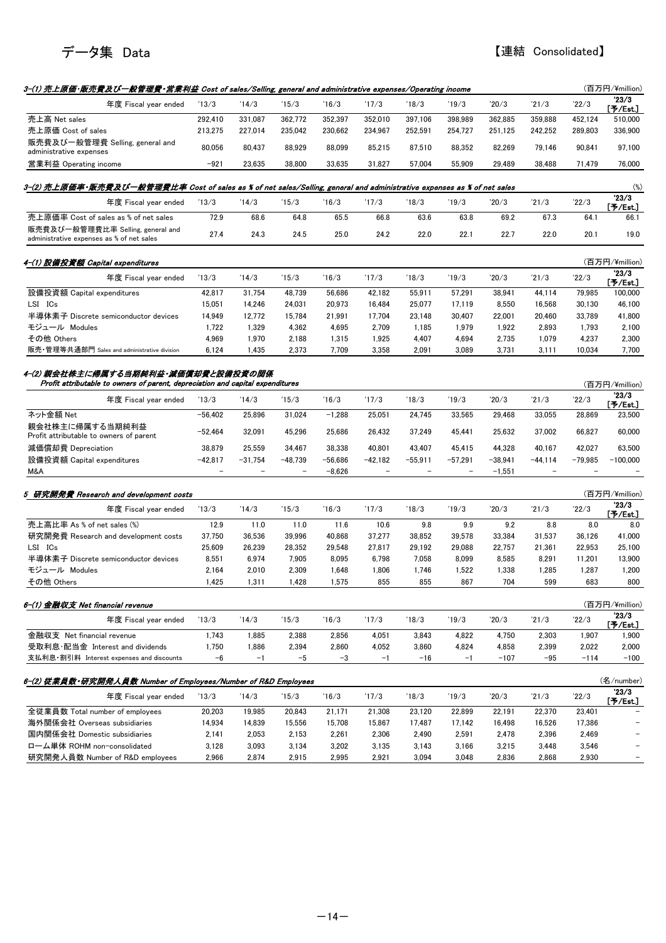

| 3-(1) 売上原価·販売費及び一般管理費·営業利益 Cost of sales/Selling, general and administrative expenses/Operating income                  |           |           |           |           |           |           |           |           |           |           | (百万円/¥million)      |
|-------------------------------------------------------------------------------------------------------------------------|-----------|-----------|-----------|-----------|-----------|-----------|-----------|-----------|-----------|-----------|---------------------|
| 年度 Fiscal year ended                                                                                                    | 13/3      | 14/3      | 15/3      | 16/3      | '17/3     | 18/3      | 19/3      | 20/3      | 21/3      | 22/3      | 23/3                |
| 売上高 Net sales                                                                                                           | 292,410   | 331,087   | 362,772   | 352,397   | 352,010   | 397,106   | 398,989   | 362,885   | 359,888   | 452,124   | [予/Est.]<br>510,000 |
| 売上原価 Cost of sales                                                                                                      | 213,275   | 227,014   | 235,042   | 230,662   | 234,967   | 252,591   | 254,727   | 251,125   | 242,252   | 289,803   | 336,900             |
| 販売費及び一般管理費 Selling, general and<br>administrative expenses                                                              | 80,056    | 80,437    | 88,929    | 88,099    | 85,215    | 87,510    | 88,352    | 82,269    | 79,146    | 90,841    | 97,100              |
| 営業利益 Operating income                                                                                                   | $-921$    | 23,635    | 38,800    | 33,635    | 31,827    | 57,004    | 55,909    | 29,489    | 38,488    | 71,479    | 76,000              |
| 3–(2) 売上原価率・販売費及び一般管理費比率 Cost of sales as % of net sales/Selling, general and administrative expenses as % of net sales |           |           |           |           |           |           |           |           |           |           | $(\%)$              |
| 年度 Fiscal year ended                                                                                                    | 13/3      | '14/3     | 15/3      | 16/3      | '17/3     | 18/3      | 19/3      | 20/3      | '21/3     | 22/3      | 23/3                |
| 売上原価率 Cost of sales as % of net sales                                                                                   | 72.9      | 68.6      | 64.8      | 65.5      | 66.8      | 63.6      | 63.8      | 69.2      | 67.3      | 64.1      | [予/Est.]<br>66.1    |
| 販売費及び一般管理費比率 Selling, general and<br>administrative expenses as % of net sales                                          | 27.4      | 24.3      | 24.5      | 25.0      | 24.2      | 22.0      | 22.1      | 22.7      | 22.0      | 20.1      | 19.0                |
| 4-(1) 設備投資額 Capital expenditures                                                                                        |           |           |           |           |           |           |           |           |           |           | (百万円/¥million)      |
| 年度 Fiscal year ended                                                                                                    | 13/3      | '14/3     | '15/3     | 16/3      | '17/3     | 18/3      | '19/3     | 20/3      | 21/3      | 22/3      | 23/3                |
| 設備投資額 Capital expenditures                                                                                              | 42,817    | 31,754    | 48,739    | 56,686    | 42,182    | 55.911    | 57,291    | 38.941    | 44,114    | 79.985    | [予/Est]<br>100,000  |
| LSI ICs                                                                                                                 | 15,051    | 14,246    | 24,031    | 20,973    | 16,484    | 25,077    | 17,119    | 8,550     | 16,568    | 30,130    | 46,100              |
| 半導体素子 Discrete semiconductor devices                                                                                    | 14,949    | 12,772    | 15,784    | 21,991    | 17,704    | 23,148    | 30,407    | 22,001    | 20,460    | 33,789    | 41,800              |
| モジュール Modules                                                                                                           | 1,722     | 1,329     | 4,362     | 4,695     | 2,709     | 1,185     | 1,979     | 1,922     | 2,893     | 1,793     | 2,100               |
| その他 Others                                                                                                              | 4,969     | 1,970     | 2,188     | 1,315     | 1,925     | 4,407     | 4,694     | 2,735     | 1,079     | 4,237     | 2,300               |
| 販売・管理等共通部門 Sales and administrative division                                                                            | 6,124     | 1,435     | 2,373     | 7,709     | 3,358     | 2,091     | 3,089     | 3,731     | 3,111     | 10,034    | 7,700               |
| 4-(2) 親会社株主に帰属する当期純利益・減価償却費と設備投資の関係<br>Profit attributable to owners of parent, depreciation and capital expenditures   |           |           |           |           |           |           |           |           |           |           | (百万円/¥million)      |
| 年度 Fiscal year ended                                                                                                    | 13/3      | 14/3      | 15/3      | 16/3      | '17/3     | 18/3      | 19/3      | 20/3      | 21/3      | 22/3      | 23/3                |
|                                                                                                                         |           |           |           |           |           |           |           |           |           |           | [予/Est.]            |
| ネット金額 Net<br>親会社株主に帰属する当期純利益                                                                                            | $-56,402$ | 25,896    | 31,024    | $-1,288$  | 25,051    | 24,745    | 33,565    | 29,468    | 33,055    | 28,869    | 23,500              |
| Profit attributable to owners of parent                                                                                 | $-52,464$ | 32,091    | 45,296    | 25,686    | 26,432    | 37,249    | 45,441    | 25,632    | 37,002    | 66,827    | 60,000              |
| 減価償却費 Depreciation                                                                                                      | 38,879    | 25,559    | 34,467    | 38,338    | 40,801    | 43,407    | 45,415    | 44,328    | 40,167    | 42,027    | 63,500              |
| 設備投資額 Capital expenditures                                                                                              | $-42,817$ | $-31,754$ | $-48,739$ | $-56,686$ | $-42,182$ | $-55,911$ | $-57,291$ | $-38,941$ | $-44,114$ | $-79,985$ | $-100,000$          |
| M&A                                                                                                                     |           |           |           | $-8,626$  |           |           |           | $-1,551$  |           |           |                     |
| 5 研究開発費 Research and development costs                                                                                  |           |           |           |           |           |           |           |           |           |           | (百万円/¥million)      |
| 年度 Fiscal year ended                                                                                                    | 13/3      | '14/3     | '15/3     | 16/3      | '17/3     | '18/3     | '19/3     | 20/3      | 21/3      | 22/3      | '23/3<br>[予/Est.]   |
| 売上高比率 As % of net sales (%)                                                                                             | 12.9      | 11.0      | 11.0      | 11.6      | 10.6      | 9.8       | 9.9       | 9.2       | 8.8       | 8.0       | 8.0                 |
| 研究開発費 Research and development costs                                                                                    | 37,750    | 36,536    | 39,996    | 40,868    | 37,277    | 38,852    | 39,578    | 33,384    | 31,537    | 36,126    | 41,000              |
| LSI ICs                                                                                                                 | 25,609    | 26,239    | 28,352    | 29,548    | 27,817    | 29,192    | 29,088    | 22,757    | 21,361    | 22,953    | 25,100              |
| 半導体素子 Discrete semiconductor devices                                                                                    | 8,551     | 6,974     | 7,905     | 8,095     | 6,798     | 7,058     | 8,099     | 8,585     | 8,291     | 11,201    | 13,900              |
| モジュール Modules                                                                                                           | 2,164     | 2,010     | 2,309     | 1,648     | 1,806     | 1,746     | 1,522     | 1,338     | 1,285     | 1,287     | 1,200               |
| その他 Others                                                                                                              | 1,425     | 1,311     | 1,428     | 1,575     | 855       | 855       | 867       | 704       | 599       | 683       | 800                 |
| 6-(1) 金融収支 Net financial revenue                                                                                        |           |           |           |           |           |           |           |           |           |           | (百万円/¥million)      |
| 年度 Fiscal year ended                                                                                                    | 13/3      | '14/3     | 15/3      | '16/3     | '17/3     | '18/3     | '19/3     | '20/3     | 21/3      | 22/3      | 23/3<br>[予/Est.]    |
| 金融収支 Net financial revenue                                                                                              | 1,743     | 1,885     | 2,388     | 2,856     | 4,051     | 3,843     | 4,822     | 4,750     | 2,303     | 1,907     | 1,900               |
| 受取利息·配当金 Interest and dividends                                                                                         | 1,750     | 1,886     | 2,394     | 2,860     | 4,052     | 3,860     | 4,824     | 4,858     | 2,399     | 2,022     | 2,000               |
| 支払利息・割引料 Interest expenses and discounts                                                                                | $-6$      | $-1$      | $-5$      | $-3$      | $-1$      | $-16$     | $-1$      | $-107$    | $-95$     | $-114$    | $-100$              |
|                                                                                                                         |           |           |           |           |           |           |           |           |           |           |                     |
| 6-(2) 従業員数・研究開発人員数 Number of Employees/Number of R&D Employees<br>年度 Fiscal year ended                                  |           | '14/3     |           | '16/3     | '17/3     | 18/3      | 19/3      | 20/3      | 21/3      | 22/3      | (名/number)<br>23/3  |
|                                                                                                                         | 13/3      |           | 15/3      |           |           |           |           |           |           |           | [予/Est.]            |
| 全従業員数 Total number of employees                                                                                         | 20,203    | 19,985    | 20,843    | 21,171    | 21,308    | 23,120    | 22,899    | 22,191    | 22,370    | 23,401    |                     |
| 海外関係会社 Overseas subsidiaries<br>国内関係会社 Domestic subsidiaries                                                            | 14,934    | 14,839    | 15,556    | 15,708    | 15,867    | 17,487    | 17,142    | 16,498    | 16,526    | 17,386    |                     |
|                                                                                                                         | 2,141     | 2,053     | 2,153     | 2,261     | 2,306     | 2,490     | 2,591     | 2,478     | 2,396     | 2,469     |                     |
| ローム単体 ROHM non-consolidated                                                                                             | 3,128     | 3,093     | 3,134     | 3,202     | 3,135     | 3,143     | 3,166     | 3,215     | 3,448     | 3,546     |                     |
| 研究開発人員数 Number of R&D employees                                                                                         | 2,966     | 2,874     | 2,915     | 2,995     | 2,921     | 3,094     | 3,048     | 2,836     | 2,868     | 2,930     |                     |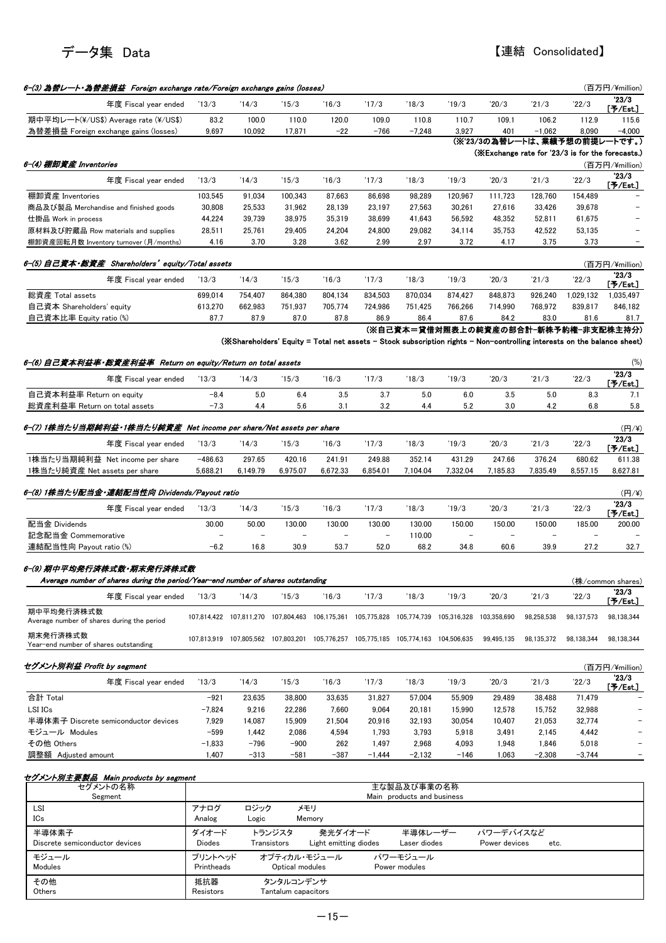

| 6-(3) 為晉レート・為晉差損益 Foreign exchange rate/Foreign exchange gains (losses)          |                        |                          |                       |                                  |                                                                                     |                            |                 |                                                                                                                         |                 |                 | (百万円/¥million)          |
|----------------------------------------------------------------------------------|------------------------|--------------------------|-----------------------|----------------------------------|-------------------------------------------------------------------------------------|----------------------------|-----------------|-------------------------------------------------------------------------------------------------------------------------|-----------------|-----------------|-------------------------|
| 年度 Fiscal year ended                                                             | 13/3                   | 14/3                     | 15/3                  | 16/3                             | '17/3                                                                               | '18/3                      | '19/3           | 20/3                                                                                                                    | 21/3            | 22/3            | 23/3<br>[予/Est.]        |
| 期中平均レート(¥/US\$) Average rate (¥/US\$)                                            | 83.2                   | 100.0                    | 110.0                 | 120.0                            | 109.0                                                                               | 110.8                      | 110.7           | 109.1                                                                                                                   | 106.2           | 112.9           | 115.6                   |
| 為替差損益 Foreign exchange gains (losses)                                            | 9,697                  | 10,092                   | 17,871                | $-22$                            | $-766$                                                                              | $-7,248$                   | 3,927           | 401                                                                                                                     | $-1,062$        | 8.090           | $-4,000$                |
|                                                                                  |                        |                          |                       |                                  |                                                                                     |                            |                 | (※'23/3の為替レートは、業績予想の前提レートです。)<br>(※Exchange rate for '23/3 is for the forecasts.)                                       |                 |                 |                         |
| 6-(4) 棚卸資産 Inventories                                                           |                        |                          |                       |                                  |                                                                                     |                            |                 |                                                                                                                         |                 |                 | (百万円/¥million)          |
| 年度 Fiscal year ended                                                             | 13/3                   | 14/3                     | 15/3                  | 16/3                             | '17/3                                                                               | '18/3                      | '19/3           | 20/3                                                                                                                    | 21/3            | 22/3            | 23/3                    |
| 棚卸資産 Inventories                                                                 | 103,545                | 91,034                   | 100,343               | 87,663                           | 86,698                                                                              | 98,289                     | 120,967         | 111,723                                                                                                                 | 128,760         | 154,489         | [予/Est.]                |
| 商品及び製品 Merchandise and finished goods                                            | 30,808                 | 25,533                   | 31,962                | 28,139                           | 23,197                                                                              | 27,563                     | 30,261          | 27,616                                                                                                                  | 33,426          | 39,678          |                         |
| 仕掛品 Work in process                                                              | 44,224                 | 39,739                   | 38,975                | 35,319                           | 38,699                                                                              | 41,643                     | 56,592          | 48,352                                                                                                                  | 52,811          | 61,675          |                         |
| 原材料及び貯蔵品 Row materials and supplies                                              | 28,511                 | 25,761                   | 29,405                | 24,204                           | 24,800                                                                              | 29,082                     | 34,114          | 35,753                                                                                                                  | 42,522          | 53,135          |                         |
| 棚卸資産回転月数 Inventory turnover (月/months)                                           | 4.16                   | 3.70                     | 3.28                  | 3.62                             | 2.99                                                                                | 2.97                       | 3.72            | 4.17                                                                                                                    | 3.75            | 3.73            |                         |
| 6-(5) 自己資本·総資産 Shareholders' equity/Total assets                                 |                        |                          |                       |                                  |                                                                                     |                            |                 |                                                                                                                         |                 |                 | (百万円/¥million)          |
| 年度 Fiscal year ended                                                             | 13/3                   | 14/3                     | 15/3                  | 16/3                             | '17/3                                                                               | '18/3                      | '19/3           | 20/3                                                                                                                    | 21/3            | 22/3            | 23/3<br>[予/Est.]        |
| 総資産 Total assets                                                                 | 699,014                | 754,407                  | 864,380               | 804,134                          | 834,503                                                                             | 870,034                    | 874,427         | 848,873                                                                                                                 | 926,240         | 1,029,132       | 1,035,497               |
| 自己資本 Shareholders' equity                                                        | 613,270                | 662,983                  | 751,937               | 705,774                          | 724,986                                                                             | 751,425                    | 766,266         | 714,990                                                                                                                 | 768.972         | 839,817         | 846,182                 |
| 自己資本比率 Equity ratio (%)                                                          | 87.7                   | 87.9                     | 87.0                  | 87.8                             | 86.9                                                                                | 86.4                       | 87.6            | 84.2                                                                                                                    | 83.0            | 81.6            | 81.7                    |
|                                                                                  |                        |                          |                       |                                  |                                                                                     |                            |                 | (※自己資本=貸借対照表上の純資産の部合計-新株予約権-非支配株主持分)                                                                                    |                 |                 |                         |
|                                                                                  |                        |                          |                       |                                  |                                                                                     |                            |                 | (※Shareholders' Equity = Total net assets - Stock subscription rights - Non-controlling interests on the balance sheet) |                 |                 |                         |
| 6-(6) 自己資本利益率•総資産利益率  Return on equity/Return on total assets                    |                        |                          |                       |                                  |                                                                                     |                            |                 |                                                                                                                         |                 |                 | (%)                     |
| 年度 Fiscal year ended                                                             | '13/3                  | '14/3                    | 15/3                  | 16/3                             | '17/3                                                                               | '18/3                      | '19/3           | 20/3                                                                                                                    | '21/3           | 22/3            | 23/3<br>[予/Est.]        |
| 自己資本利益率 Return on equity                                                         | $-8.4$                 | 5.0                      | 6.4                   | 3.5                              | 3.7                                                                                 | 5.0                        | 6.0             | 3.5                                                                                                                     | 5.0             | 8.3             | 7.1                     |
| 総資産利益率 Return on total assets                                                    | $-7.3$                 | 4.4                      | 5.6                   | 3.1                              | 3.2                                                                                 | 4.4                        | 5.2             | 3.0                                                                                                                     | 4.2             | 6.8             | 5.8                     |
| 6-(7) 1株当たり当期純利益・1株当たり純資産 Net income per share/Net assets per share              |                        |                          |                       |                                  |                                                                                     |                            |                 |                                                                                                                         |                 |                 |                         |
|                                                                                  |                        |                          |                       |                                  |                                                                                     |                            |                 |                                                                                                                         |                 |                 | (円/¥)<br>23/3           |
| 年度 Fiscal year ended                                                             | 13/3                   | 14/3                     | 15/3                  | 16/3                             | '17/3                                                                               | '18/3                      | '19/3           | 20/3                                                                                                                    | 21/3            | 22/3            | [予/Est.]                |
| 1株当たり当期純利益 Net income per share                                                  | $-486.63$              | 297.65                   | 420.16                | 241.91                           | 249.88                                                                              | 352.14                     | 431.29          | 247.66                                                                                                                  | 376.24          | 680.62          | 611.38                  |
| 1株当たり純資産 Net assets per share                                                    | 5,688.21               | 6,149.79                 | 6,975.07              | 6,672.33                         | 6,854.01                                                                            | 7,104.04                   | 7,332.04        | 7,185.83                                                                                                                | 7,835.49        | 8,557.15        | 8,627.81                |
| 6-(8) 1株当たり配当金・連結配当性向 Dividends/Payout ratio                                     |                        |                          |                       |                                  |                                                                                     |                            |                 |                                                                                                                         |                 |                 | (円/¥)                   |
| 年度 Fiscal year ended                                                             | 13/3                   | 14/3                     | 15/3                  | 16/3                             | '17/3                                                                               | '18/3                      | '19/3           | 20/3                                                                                                                    | 21/3            | 22/3            | 23/3<br>$[$ 予/Est.]     |
| 配当金 Dividends                                                                    | 30.00                  | 50.00                    | 130.00                | 130.00                           | 130.00                                                                              | 130.00                     | 150.00          | 150.00                                                                                                                  | 150.00          | 185.00          | 200.00                  |
| 記念配当金 Commemorative                                                              |                        | $\overline{\phantom{a}}$ |                       | $\overline{\phantom{0}}$         |                                                                                     | 110.00                     |                 | $\overline{\phantom{a}}$                                                                                                |                 |                 |                         |
| 連結配当性向 Payout ratio (%)                                                          | $-6.2$                 | 16.8                     | 30.9                  | 53.7                             | 52.0                                                                                | 68.2                       | 34.8            | 60.6                                                                                                                    | 39.9            | 27.2            | 32.7                    |
| 6-(9) 期中平均発行済株式数·期末発行済株式数                                                        |                        |                          |                       |                                  |                                                                                     |                            |                 |                                                                                                                         |                 |                 |                         |
| Average number of shares during the period/Year-end number of shares outstanding |                        |                          |                       |                                  |                                                                                     |                            |                 |                                                                                                                         |                 |                 | (株/common shares)       |
| 年度 Fiscal year ended                                                             | 13/3                   | 14/3                     | 15/3                  | 16/3                             | '17/3                                                                               | '18/3                      | '19/3           | 20/3                                                                                                                    | 21/3            | 22/3            | '23/3<br>[予/Est.]       |
| 期中平均発行済株式数                                                                       |                        |                          |                       |                                  | 107,814,422 107,811,270 107,804,463 106,175,361 105,775,828 105,774,739 105,316,328 |                            |                 | 103,358,690                                                                                                             | 98,258,538      | 98,137,573      | 98.138.344              |
| Average number of shares during the period                                       |                        |                          |                       |                                  |                                                                                     |                            |                 |                                                                                                                         |                 |                 |                         |
| 期末発行済株式数<br>Year-end number of shares outstanding                                |                        |                          |                       |                                  | 107.813.919 107.805.562 107.803.201 105.776.257 105.775.185 105.774.163 104.506.635 |                            |                 | 99,495,135                                                                                                              | 98,135,372      | 98.138.344      | 98,138,344              |
|                                                                                  |                        |                          |                       |                                  |                                                                                     |                            |                 |                                                                                                                         |                 |                 |                         |
| セグメント別利益 Profit by segment                                                       |                        |                          |                       |                                  |                                                                                     |                            |                 |                                                                                                                         |                 |                 | (百万円/¥million)<br>'23/3 |
| 年度 Fiscal year ended                                                             | 13/3                   | 14/3                     | 15/3                  | 16/3                             | '17/3                                                                               | '18/3                      | '19/3           | 20/3                                                                                                                    | 21/3            | 22/3            | [予/Est.]                |
| 合計 Total                                                                         | $-921$                 | 23,635                   | 38,800                | 33,635                           | 31,827                                                                              | 57,004                     | 55,909          | 29,489                                                                                                                  | 38,488          | 71,479          |                         |
| LSI ICs                                                                          | $-7,824$               | 9,216                    | 22,286                | 7,660                            | 9,064                                                                               | 20,181                     | 15,990          | 12,578                                                                                                                  | 15,752          | 32,988          |                         |
| 半導体素子 Discrete semiconductor devices<br>モジュール Modules                            | 7,929<br>$-599$        | 14,087<br>1,442          | 15,909<br>2,086       | 21,504<br>4,594                  | 20,916<br>1,793                                                                     | 32,193<br>3,793            | 30,054<br>5,918 | 10,407<br>3,491                                                                                                         | 21,053<br>2,145 | 32,774<br>4,442 |                         |
| その他 Others                                                                       | $-1,833$               | $-796$                   | $-900$                | 262                              | 1,497                                                                               | 2,968                      | 4,093           | 1,948                                                                                                                   | 1,846           | 5,018           |                         |
| 調整額 Adjusted amount                                                              | 1,407                  | $-313$                   | $-581$                | $-387$                           | $-1,444$                                                                            | $-2,132$                   | $-146$          | 1,063                                                                                                                   | $-2,308$        | $-3,744$        |                         |
|                                                                                  |                        |                          |                       |                                  |                                                                                     |                            |                 |                                                                                                                         |                 |                 |                         |
| セグメント別主要製品 Main products by segment<br>セグメントの名称                                  |                        |                          |                       |                                  |                                                                                     | 主な製品及び事業の名称                |                 |                                                                                                                         |                 |                 |                         |
| Segment                                                                          |                        |                          |                       |                                  |                                                                                     | Main products and business |                 |                                                                                                                         |                 |                 |                         |
| LSI                                                                              | アナログ                   | ロジック                     | メモリ                   |                                  |                                                                                     |                            |                 |                                                                                                                         |                 |                 |                         |
| ICs                                                                              | Analog                 | Logic                    |                       | Memory                           |                                                                                     |                            |                 |                                                                                                                         |                 |                 |                         |
| 半導体素子<br>Discrete semiconductor devices                                          | ダイオード<br><b>Diodes</b> |                          | トランジスタ<br>Transistors | 発光ダイオード<br>Light emitting diodes |                                                                                     | 半導体レーザー<br>Laser diodes    |                 | パワーデバイスなど<br>Power devices                                                                                              | etc.            |                 |                         |
| モジュール                                                                            | プリントヘッド                |                          | オプティカル・モジュール          |                                  |                                                                                     | パワーモジュール                   |                 |                                                                                                                         |                 |                 |                         |
| Modules                                                                          | Printheads             |                          | Optical modules       |                                  |                                                                                     | Power modules              |                 |                                                                                                                         |                 |                 |                         |
| その他                                                                              | 抵抗器                    |                          | タンタルコンデンサ             |                                  |                                                                                     |                            |                 |                                                                                                                         |                 |                 |                         |
| Others                                                                           | Resistors              |                          | Tantalum capacitors   |                                  |                                                                                     |                            |                 |                                                                                                                         |                 |                 |                         |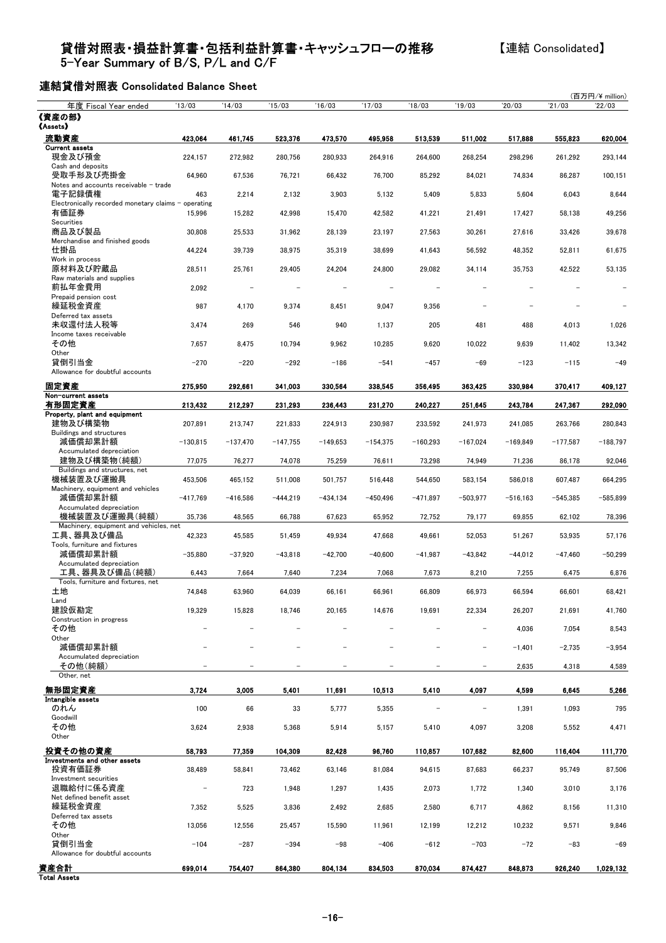#### 貸借対照表・損益計算書・包括利益計算書・キャッシュフローの推移

5-Year Summary of B/S, P/L and C/F

### 【連結 Consolidated】

連結貸借対照表 Consolidated Balance Sheet

| 年度 Fiscal Year ended                                    | 13/03                    | '14/03     | 15/03      | '16/03     | '17/03     | 18/03                    | '19/03                   | 20/03       | 21/03      | (百万円/¥ million)<br>22/03 |
|---------------------------------------------------------|--------------------------|------------|------------|------------|------------|--------------------------|--------------------------|-------------|------------|--------------------------|
| 《資産の部》                                                  |                          |            |            |            |            |                          |                          |             |            |                          |
| 《Assets》                                                |                          |            |            |            |            |                          |                          |             |            |                          |
| 流動資産<br><b>Current assets</b>                           | 423,064                  | 461,745    | 523,376    | 473,570    | 495,958    | 513,539                  | 511,002                  | 517,888     | 555.823    | 620.004                  |
| 現金及び預金                                                  | 224,157                  | 272,982    | 280,756    | 280,933    | 264,916    | 264,600                  | 268,254                  | 298,296     | 261,292    | 293,144                  |
| Cash and deposits<br>受取手形及び売掛金                          | 64,960                   | 67,536     | 76,721     | 66,432     | 76,700     | 85,292                   | 84,021                   | 74,834      | 86,287     | 100,151                  |
| Notes and accounts receivable - trade<br>電子記録債権         |                          |            |            |            |            |                          |                          |             |            |                          |
| Electronically recorded monetary claims - operating     | 463                      | 2,214      | 2,132      | 3,903      | 5,132      | 5,409                    | 5,833                    | 5,604       | 6,043      | 8,644                    |
| 有価証券<br>Securities                                      | 15,996                   | 15,282     | 42,998     | 15,470     | 42,582     | 41,221                   | 21,491                   | 17,427      | 58,138     | 49,256                   |
| 商品及び製品                                                  | 30,808                   | 25,533     | 31,962     | 28,139     | 23,197     | 27,563                   | 30,261                   | 27,616      | 33,426     | 39,678                   |
| Merchandise and finished goods<br>仕掛品                   | 44,224                   | 39,739     | 38,975     | 35,319     | 38,699     | 41,643                   | 56,592                   | 48,352      | 52,811     | 61,675                   |
| Work in process<br>原材料及び貯蔵品                             | 28,511                   | 25,761     | 29,405     | 24,204     | 24,800     | 29,082                   | 34,114                   | 35,753      | 42,522     | 53,135                   |
| Raw materials and supplies<br>前払年金費用                    | 2,092                    |            |            |            |            |                          |                          |             |            |                          |
| Prepaid pension cost<br>繰延税金資産<br>Deferred tax assets   | 987                      | 4,170      | 9,374      | 8,451      | 9,047      | 9,356                    |                          |             |            |                          |
| 未収還付法人税等<br>Income taxes receivable                     | 3,474                    | 269        | 546        | 940        | 1,137      | 205                      | 481                      | 488         | 4,013      | 1,026                    |
| その他                                                     | 7,657                    | 8,475      | 10,794     | 9,962      | 10,285     | 9,620                    | 10,022                   | 9,639       | 11,402     | 13,342                   |
| Other<br>貸倒引当金<br>Allowance for doubtful accounts       | $-270$                   | $-220$     | $-292$     | $-186$     | $-541$     | $-457$                   | $-69$                    | $-123$      | $-115$     | $-49$                    |
| 固定資産                                                    | 275,950                  | 292,661    | 341.003    | 330,564    | 338,545    | 356,495                  | 363,425                  | 330,984     | 370,417    | 409.127                  |
| Non-current assets<br>有形固定資産                            | 213,432                  | 212,297    | 231,293    | 236,443    | 231,270    | 240,227                  | 251,645                  | 243,784     | 247.367    | 292,090                  |
| Property, plant and equipment<br>建物及び構築物                |                          |            |            |            |            |                          |                          |             |            | 280,843                  |
| Buildings and structures                                | 207,891                  | 213,747    | 221,833    | 224,913    | 230,987    | 233,592                  | 241,973                  | 241,085     | 263,766    |                          |
| 減価償却累計額<br>Accumulated depreciation                     | $-130,815$               | $-137,470$ | $-147,755$ | $-149,653$ | $-154,375$ | $-160,293$               | $-167,024$               | $-169,849$  | $-177,587$ | $-188,797$               |
| 建物及び構築物(純額)<br>Buildings and structures, net            | 77,075                   | 76,277     | 74,078     | 75,259     | 76,611     | 73,298                   | 74,949                   | 71,236      | 86,178     | 92,046                   |
| 機械装置及び運搬具<br>Machinery, equipment and vehicles          | 453,506                  | 465,152    | 511,008    | 501,757    | 516,448    | 544,650                  | 583,154                  | 586,018     | 607,487    | 664,295                  |
| 減価償却累計額<br>Accumulated depreciation                     | $-417,769$               | $-416,586$ | $-444,219$ | $-434,134$ | $-450,496$ | $-471,897$               | $-503,977$               | $-516, 163$ | $-545,385$ | $-585,899$               |
| 機械装置及び運搬具(純額)<br>Machinery, equipment and vehicles, net | 35,736                   | 48,565     | 66,788     | 67,623     | 65,952     | 72,752                   | 79,177                   | 69,855      | 62,102     | 78,396                   |
| 工具、器具及び備品<br>Tools, furniture and fixtures              | 42,323                   | 45,585     | 51,459     | 49,934     | 47,668     | 49,661                   | 52,053                   | 51,267      | 53,935     | 57,176                   |
| 減価償却累計額<br>Accumulated depreciation                     | $-35,880$                | $-37,920$  | $-43,818$  | $-42,700$  | $-40,600$  | $-41,987$                | $-43,842$                | $-44,012$   | $-47,460$  | $-50,299$                |
| 工具、器具及び備品(純額)                                           | 6,443                    | 7,664      | 7,640      | 7,234      | 7,068      | 7,673                    | 8,210                    | 7,255       | 6,475      | 6,876                    |
| Tools, furniture and fixtures, net<br>土地                | 74,848                   | 63,960     | 64,039     | 66,161     | 66,961     | 66,809                   | 66,973                   | 66,594      | 66,601     | 68,421                   |
| Land<br>建設仮勘定                                           | 19,329                   | 15,828     | 18,746     | 20,165     | 14,676     | 19,691                   | 22,334                   | 26,207      | 21,691     | 41,760                   |
| Construction in progress                                |                          |            |            |            |            |                          |                          |             |            |                          |
| その他<br>Other                                            |                          |            |            |            |            |                          | $\overline{\phantom{0}}$ | 4,036       | 7,054      | 8,543                    |
| 減価償却累計額                                                 |                          |            |            |            |            |                          | $\overline{\phantom{0}}$ | $-1,401$    | $-2,735$   | $-3,954$                 |
| Accumulated depreciation<br>その他(純額)                     |                          |            |            |            |            |                          |                          | 2,635       | 4,318      | 4,589                    |
| Other, net<br>無形固定資産                                    | 3,724                    | 3,005      | 5,401      | 11,691     | 10,513     | 5,410                    | 4,097                    | 4,599       | 6.645      | 5,266                    |
| Intangible assets                                       |                          |            |            |            |            |                          |                          |             |            |                          |
| のれん<br>Goodwill                                         | 100                      | 66         | 33         | 5,777      | 5,355      | $\overline{\phantom{0}}$ | $\overline{\phantom{a}}$ | 1,391       | 1,093      | 795                      |
| その他<br>Other                                            | 3,624                    | 2,938      | 5,368      | 5,914      | 5,157      | 5,410                    | 4,097                    | 3,208       | 5,552      | 4,471                    |
| 投資その他の資産<br>Investments and other assets                | 58,793                   | 77,359     | 104,309    | 82,428     | 96,760     | 110,857                  | 107.682                  | 82,600      | 116,404    | 111,770                  |
| 投資有価証券                                                  | 38,489                   | 58,841     | 73,462     | 63,146     | 81,084     | 94,615                   | 87,683                   | 66,237      | 95,749     | 87,506                   |
| Investment securities<br>退職給付に係る資産                      | $\overline{\phantom{a}}$ | 723        | 1,948      | 1,297      | 1,435      | 2,073                    | 1,772                    | 1,340       | 3,010      | 3,176                    |
| Net defined benefit asset<br>繰延税金資産                     | 7,352                    | 5,525      | 3,836      | 2,492      | 2,685      | 2,580                    | 6,717                    | 4,862       | 8,156      | 11,310                   |
| Deferred tax assets<br>その他                              | 13,056                   | 12,556     | 25,457     | 15,590     | 11,961     | 12,199                   | 12,212                   | 10,232      | 9,571      | 9,846                    |
| Other<br>貸倒引当金                                          | $-104$                   | $-287$     | $-394$     | -98        | $-406$     | $-612$                   | $-703$                   | $-72$       | $-83$      | $-69$                    |
| Allowance for doubtful accounts<br>資産合計                 | 699,014                  | 754,407    | 864,380    | 804,134    | 834,503    | 870,034                  | 874,427                  | 848,873     | 926,240    | 1,029,132                |
| <b>Total Assets</b>                                     |                          |            |            |            |            |                          |                          |             |            |                          |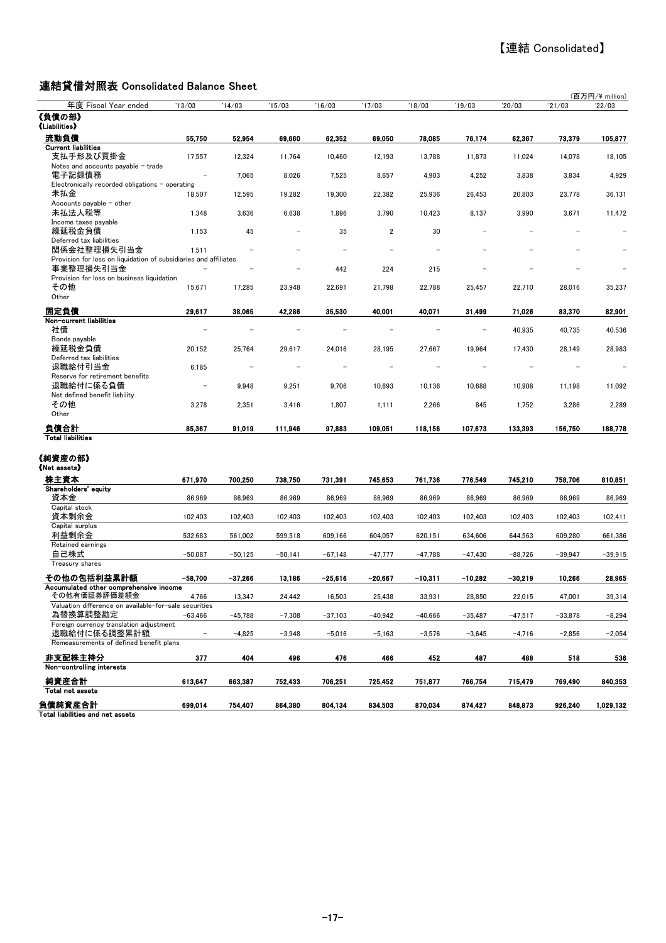#### 連結貸借対照表 Consolidated Balance Sheet

| 年度 Fiscal Year ended                                             | '13/03                   | '14/03    | '15/03    | '16/03    | '17/03    | 18/03     | '19/03    | 20/03     | 21/03     | (百万円/¥ million)<br>22/03 |
|------------------------------------------------------------------|--------------------------|-----------|-----------|-----------|-----------|-----------|-----------|-----------|-----------|--------------------------|
| 《負債の部》<br>《Liabilities》                                          |                          |           |           |           |           |           |           |           |           |                          |
|                                                                  |                          |           |           |           |           |           |           |           |           |                          |
| 流動負債<br><b>Current liabilities</b>                               | 55,750                   | 52,954    | 69,660    | 62,352    | 69,050    | 78,085    | 76,174    | 62,367    | 73,379    | 105,877                  |
| 支払手形及び買掛金                                                        | 17,557                   | 12,324    | 11,764    | 10,460    | 12,193    | 13,788    | 11,873    | 11,024    | 14,078    | 18,105                   |
| Notes and accounts payable - trade                               |                          |           |           |           |           |           |           |           |           |                          |
| 電子記録債務                                                           |                          | 7,065     | 8,026     | 7,525     | 8,657     | 4,903     | 4,252     | 3,838     | 3,834     | 4,929                    |
| Electronically recorded obligations - operating                  |                          |           |           |           |           |           |           |           |           |                          |
| 未払金                                                              | 18,507                   | 12,595    | 19,282    | 19,300    | 22,382    | 25,936    | 26,453    | 20,803    | 23,778    | 36,131                   |
| Accounts payable $-$ other                                       |                          |           |           |           |           |           |           |           |           |                          |
| 未払法人税等<br>Income taxes payable                                   | 1,348                    | 3,636     | 6,638     | 1,896     | 3,790     | 10,423    | 8,137     | 3,990     | 3,671     | 11,472                   |
| 繰延税金負債                                                           | 1,153                    | 45        |           | 35        | 2         | 30        |           |           |           |                          |
| Deferred tax liabilities                                         |                          |           |           |           |           |           |           |           |           |                          |
| 関係会社整理損失引当金                                                      | 1,511                    |           |           |           |           |           |           |           |           |                          |
| Provision for loss on liquidation of subsidiaries and affiliates |                          |           |           |           |           |           |           |           |           |                          |
| 事業整理損失引当金                                                        |                          |           |           | 442       | 224       | 215       |           |           |           |                          |
| Provision for loss on business liquidation                       |                          |           |           |           |           |           |           |           |           |                          |
| その他                                                              | 15,671                   | 17,285    | 23,948    | 22,691    | 21,798    | 22,788    | 25,457    | 22,710    | 28,016    | 35,237                   |
| Other                                                            |                          |           |           |           |           |           |           |           |           |                          |
| 固定負債                                                             | 29,617                   | 38,065    | 42,286    | 35,530    | 40,001    | 40,071    | 31,499    | 71,026    | 83.370    | 82.901                   |
| Non-current liabilities                                          |                          |           |           |           |           |           |           |           |           |                          |
| 社債                                                               |                          |           |           |           |           |           |           | 40,935    | 40,735    | 40,536                   |
| Bonds payable                                                    |                          |           |           |           |           |           |           |           |           |                          |
| 繰延税金負債<br>Deferred tax liabilities                               | 20,152                   | 25,764    | 29,617    | 24,016    | 28,195    | 27,667    | 19,964    | 17,430    | 28,149    | 28,983                   |
| 退職給付引当金                                                          | 6,185                    |           |           |           |           |           |           |           |           |                          |
| Reserve for retirement benefits                                  |                          |           |           |           |           |           |           |           |           |                          |
| 退職給付に係る負債                                                        | $\overline{\phantom{a}}$ | 9,948     | 9,251     | 9,706     | 10,693    | 10,136    | 10,688    | 10,908    | 11,198    | 11,092                   |
| Net defined benefit liability                                    |                          |           |           |           |           |           |           |           |           |                          |
| その他                                                              | 3,278                    | 2,351     | 3,416     | 1,807     | 1,111     | 2,266     | 845       | 1,752     | 3,286     | 2,289                    |
| Other                                                            |                          |           |           |           |           |           |           |           |           |                          |
| 負債合計                                                             | 85,367                   | 91,019    | 111,946   | 97,883    | 109,051   | 118,156   | 107,673   | 133,393   | 156,750   | 188,778                  |
| <b>Total liabilities</b>                                         |                          |           |           |           |           |           |           |           |           |                          |
|                                                                  |                          |           |           |           |           |           |           |           |           |                          |
| 《純資産の部》                                                          |                          |           |           |           |           |           |           |           |           |                          |
| (Net assets)                                                     |                          |           |           |           |           |           |           |           |           |                          |
| 株主資本                                                             | 671,970                  | 700,250   | 738,750   | 731,391   | 745,653   | 761,736   | 776,549   | 745,210   | 758,706   | 810.851                  |
| Shareholders' equity                                             |                          |           |           |           |           |           |           |           |           |                          |
| 資本金                                                              | 86,969                   | 86,969    | 86,969    | 86,969    | 86,969    | 86,969    | 86,969    | 86,969    | 86,969    | 86,969                   |
| Capital stock                                                    |                          |           |           |           |           |           |           |           |           |                          |
| 資本剰余金<br>Capital surplus                                         | 102,403                  | 102,403   | 102,403   | 102,403   | 102,403   | 102,403   | 102,403   | 102,403   | 102,403   | 102,411                  |
| 利益剰余金                                                            | 532,683                  | 561.002   | 599,518   | 609,166   | 604.057   | 620,151   | 634.606   | 644,563   | 609.280   | 661,386                  |
| Retained earnings                                                |                          |           |           |           |           |           |           |           |           |                          |
| 自己株式                                                             | $-50,087$                | $-50,125$ | $-50,141$ | $-67,148$ | $-47,777$ | $-47,788$ | $-47,430$ | $-88,726$ | $-39,947$ | $-39,915$                |
| Treasury shares                                                  |                          |           |           |           |           |           |           |           |           |                          |
| その他の包括利益累計額                                                      | $-58,700$                | $-37,266$ | 13,186    | $-25.616$ | $-20.667$ | -10,311   | $-10,282$ | $-30.219$ | 10.266    | 28,965                   |
| Accumulated other comprehensive income                           |                          |           |           |           |           |           |           |           |           |                          |
| その他有価証券評価差額金                                                     | 4,766                    | 13,347    | 24,442    | 16,503    | 25,438    | 33,931    | 28,850    | 22,015    | 47,001    | 39,314                   |
| Valuation difference on available-for-sale securities            |                          |           |           |           |           |           |           |           |           |                          |
| 為替換算調整勘定                                                         | $-63.466$                | $-45,788$ | $-7,308$  | $-37,103$ | $-40,942$ | $-40,666$ | $-35,487$ | $-47,517$ | $-33,878$ | $-8,294$                 |
| Foreign currency translation adjustment                          |                          |           |           |           |           |           |           |           |           |                          |
| 退職給付に係る調整累計額<br>Remeasurements of defined benefit plans          |                          | $-4,825$  | $-3,948$  | $-5,016$  | $-5,163$  | $-3,576$  | $-3,645$  | $-4,716$  | $-2,856$  | $-2,054$                 |
|                                                                  |                          |           |           |           |           |           |           |           |           |                          |
| 非支配株主持分                                                          | 377                      | 404       | 496       | 476       | 466       | 452       | 487       | 488       | 518       | 536                      |
| Non-controlling interests                                        |                          |           |           |           |           |           |           |           |           |                          |
| 純資産合計                                                            | 613,647                  | 663,387   | 752,433   | 706,251   | 725,452   | 751,877   | 766,754   | 715,479   | 769,490   | 840,353                  |
| Total net assets                                                 |                          |           |           |           |           |           |           |           |           |                          |
| 負債純資産合計                                                          | 699,014                  | 754,407   | 864,380   | 804,134   | 834,503   | 870,034   | 874,427   | 848,873   | 926,240   | 1,029,132                |
| Total liabilities and net assets                                 |                          |           |           |           |           |           |           |           |           |                          |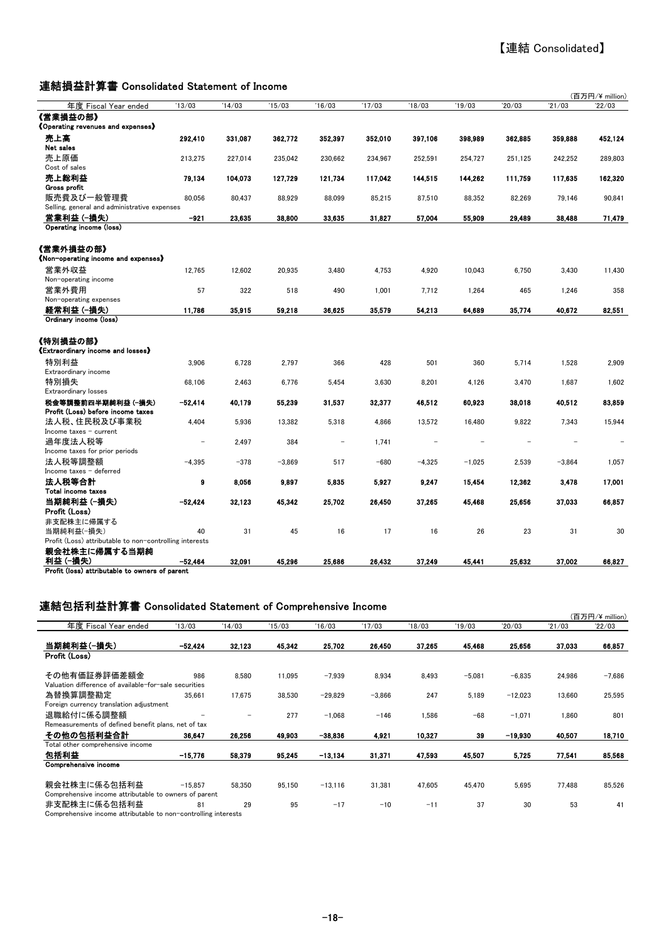#### 連結損益計算書 Consolidated Statement of Income

|                                                                          |           |         |          |                          |         |          |          |         |          | (百万円/¥ million) |
|--------------------------------------------------------------------------|-----------|---------|----------|--------------------------|---------|----------|----------|---------|----------|-----------------|
| 年度 Fiscal Year ended                                                     | 13/03     | '14/03  | 15/03    | '16/03                   | '17/03  | 18/03    | 19/03    | 20/03   | '21/03   | 22/03           |
| 《営業損益の部》<br><b>《Operating revenues and expenses》</b>                     |           |         |          |                          |         |          |          |         |          |                 |
| 売上高<br>Net sales                                                         | 292,410   | 331,087 | 362.772  | 352.397                  | 352,010 | 397.106  | 398.989  | 362.885 | 359,888  | 452.124         |
| 売上原価                                                                     | 213.275   | 227.014 | 235,042  | 230,662                  | 234,967 | 252,591  | 254,727  | 251.125 | 242,252  | 289.803         |
| Cost of sales<br>売上総利益                                                   | 79.134    | 104.073 | 127.729  | 121.734                  | 117.042 | 144,515  | 144.262  | 111.759 | 117,635  | 162,320         |
| Gross profit<br>販売費及び一般管理費                                               | 80.056    | 80,437  | 88,929   | 88,099                   | 85,215  | 87,510   | 88,352   | 82,269  | 79.146   | 90.841          |
| Selling, general and administrative expenses                             |           |         |          |                          |         |          |          |         |          |                 |
| 営業利益(一撮失)                                                                | $-921$    | 23.635  | 38.800   | 33.635                   | 31,827  | 57.004   | 55.909   | 29.489  | 38.488   | 71.479          |
| Operating income (loss)                                                  |           |         |          |                          |         |          |          |         |          |                 |
| 《営業外損益の部》<br>《Non-operating income and expenses》                         |           |         |          |                          |         |          |          |         |          |                 |
| 営業外収益<br>Non-operating income                                            | 12,765    | 12,602  | 20,935   | 3,480                    | 4,753   | 4,920    | 10,043   | 6,750   | 3,430    | 11,430          |
| 営業外費用<br>Non-operating expenses                                          | 57        | 322     | 518      | 490                      | 1.001   | 7,712    | 1,264    | 465     | 1,246    | 358             |
| 経常利益(一損失)                                                                | 11,786    | 35,915  | 59,218   | 36.625                   | 35,579  | 54.213   | 64,689   | 35,774  | 40,672   | 82,551          |
| Ordinary income (loss)                                                   |           |         |          |                          |         |          |          |         |          |                 |
| 《特別損益の部》<br>《Extraordinary income and losses》                            |           |         |          |                          |         |          |          |         |          |                 |
| 特別利益<br>Extraordinary income                                             | 3,906     | 6,728   | 2,797    | 366                      | 428     | 501      | 360      | 5,714   | 1,528    | 2,909           |
| 特別損失<br><b>Extraordinary losses</b>                                      | 68,106    | 2,463   | 6,776    | 5,454                    | 3,630   | 8,201    | 4,126    | 3,470   | 1,687    | 1,602           |
| 税金等調整前四半期純利益(一損失)<br>Profit (Loss) before income taxes                   | $-52,414$ | 40,179  | 55,239   | 31,537                   | 32,377  | 46,512   | 60,923   | 38,018  | 40,512   | 83,859          |
| 法人税、住民税及び事業税<br>Income taxes - current                                   | 4,404     | 5,936   | 13,382   | 5,318                    | 4,866   | 13,572   | 16,480   | 9,822   | 7,343    | 15,944          |
| 過年度法人税等<br>Income taxes for prior periods                                |           | 2,497   | 384      | $\overline{\phantom{0}}$ | 1,741   |          |          |         |          |                 |
| 法人税等調整額<br>Income taxes - deferred                                       | $-4,395$  | $-378$  | $-3,869$ | 517                      | $-680$  | $-4,325$ | $-1,025$ | 2,539   | $-3,864$ | 1,057           |
| 法人税等合計<br>Total income taxes                                             | 9         | 8,056   | 9,897    | 5,835                    | 5,927   | 9.247    | 15,454   | 12,362  | 3,478    | 17,001          |
| 当期純利益 (-損失)<br>Profit (Loss)                                             | $-52.424$ | 32.123  | 45,342   | 25,702                   | 26,450  | 37.265   | 45,468   | 25,656  | 37,033   | 66,857          |
| 非支配株主に帰属する<br>当期純利益(一損失)                                                 | 40        | 31      | 45       | 16                       | 17      | 16       | 26       | 23      | 31       | 30              |
| Profit (Loss) attributable to non-controlling interests<br>親会社株主に帰属する当期純 |           |         |          |                          |         |          |          |         |          |                 |
| 利益 (一損失)<br>Profit (loss) attributable to owners of parent               | $-52.464$ | 32.091  | 45.296   | 25.686                   | 26.432  | 37.249   | 45,441   | 25,632  | 37,002   | 66,827          |

#### 連結包括利益計算書 Consolidated Statement of Comprehensive Income

|                                                                |           |        |        |           |          |        |          |           |        | (百万円/¥ million) |
|----------------------------------------------------------------|-----------|--------|--------|-----------|----------|--------|----------|-----------|--------|-----------------|
| 年度 Fiscal Year ended                                           | 13/03     | 14/03  | 15/03  | 16/03     | '17/03   | 18/03  | '19/03   | 20/03     | '21/03 | 22/03           |
| 当期純利益(一損失)                                                     | $-52.424$ | 32.123 | 45.342 | 25,702    | 26,450   | 37.265 | 45,468   | 25,656    | 37,033 | 66,857          |
| Profit (Loss)                                                  |           |        |        |           |          |        |          |           |        |                 |
| その他有価証券評価差額金                                                   | 986       | 8,580  | 11.095 | $-7.939$  | 8.934    | 8.493  | $-5,081$ | $-6.835$  | 24,986 | $-7.686$        |
| Valuation difference of available-for-sale securities          |           |        |        |           |          |        |          |           |        |                 |
| 為替換算調整勘定                                                       | 35.661    | 17.675 | 38.530 | $-29.829$ | $-3,866$ | 247    | 5.189    | $-12,023$ | 13.660 | 25.595          |
| Foreign currency translation adjustment                        |           |        |        |           |          |        |          |           |        |                 |
| 退職給付に係る調整額                                                     |           | -      | 277    | $-1.068$  | $-146$   | 1.586  | $-68$    | $-1,071$  | 1.860  | 801             |
| Remeasurements of defined benefit plans, net of tax            |           |        |        |           |          |        |          |           |        |                 |
| その他の包括利益合計                                                     | 36.647    | 26.256 | 49.903 | $-38,836$ | 4.921    | 10.327 | 39       | -19.930   | 40,507 | 18,710          |
| Total other comprehensive income                               |           |        |        |           |          |        |          |           |        |                 |
| 包括利益                                                           | $-15.776$ | 58,379 | 95,245 | $-13,134$ | 31.371   | 47.593 | 45.507   | 5,725     | 77,541 | 85,568          |
| Comprehensive income                                           |           |        |        |           |          |        |          |           |        |                 |
| 親会社株主に係る包括利益                                                   | $-15.857$ | 58.350 | 95.150 | $-13.116$ | 31.381   | 47.605 | 45.470   | 5,695     | 77.488 | 85.526          |
| Comprehensive income attributable to owners of parent          |           |        |        |           |          |        |          |           |        |                 |
| 非支配株主に係る包括利益                                                   | 81        | 29     | 95     | $-17$     | $-10$    | $-11$  | 37       | 30        | 53     | 41              |
| Comprehensive income attributable to non-controlling interests |           |        |        |           |          |        |          |           |        |                 |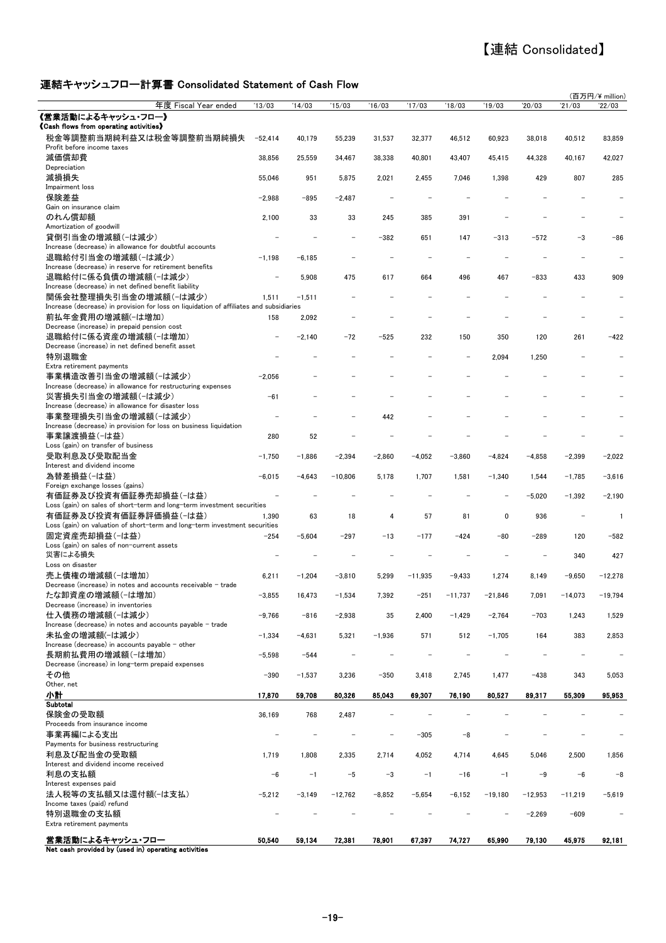# 【連結 Consolidated】

#### 連結キャッシュフロー計算書 Consolidated Statement of Cash Flow

|                                                                                                                 |           |          |           |          |           |          |           |           |           | (百万円/¥ million) |
|-----------------------------------------------------------------------------------------------------------------|-----------|----------|-----------|----------|-----------|----------|-----------|-----------|-----------|-----------------|
| 年度 Fiscal Year ended                                                                                            | 13/03     | '14/03   | 15/03     | 16/03    | '17/03    | 18/03    | '19/03    | '20/03    | 21/03     | '22/03          |
| 《営業活動によるキャッシュ・フロー》                                                                                              |           |          |           |          |           |          |           |           |           |                 |
| <b>《Cash flows from operating activities》</b><br>税金等調整前当期純利益又は税金等調整前当期純損失                                       | $-52,414$ | 40,179   | 55,239    | 31,537   | 32,377    | 46,512   | 60,923    | 38,018    | 40,512    | 83,859          |
| Profit before income taxes<br>減価償却費                                                                             | 38,856    | 25,559   | 34,467    | 38,338   | 40,801    | 43,407   | 45,415    | 44,328    | 40,167    | 42,027          |
| Depreciation<br>減損損失                                                                                            | 55,046    | 951      | 5,875     | 2,021    | 2,455     | 7,046    | 1,398     | 429       | 807       | 285             |
| Impairment loss                                                                                                 |           |          |           |          |           |          |           |           |           |                 |
| 保険差益                                                                                                            | $-2,988$  | -895     | $-2,487$  |          |           |          |           |           |           |                 |
| Gain on insurance claim<br>のれん償却額                                                                               | 2,100     | 33       | 33        | 245      | 385       | 391      |           |           |           |                 |
| Amortization of goodwill<br>貸倒引当金の増減額(-は減少)                                                                     |           |          |           | -382     | 651       | 147      | $-313$    | $-572$    | $-3$      | -86             |
| Increase (decrease) in allowance for doubtful accounts<br>退職給付引当金の増減額(-は減少)                                     | $-1,198$  | $-6,185$ |           |          |           |          |           |           |           |                 |
| Increase (decrease) in reserve for retirement benefits                                                          |           |          |           |          |           |          |           |           |           |                 |
| 退職給付に係る負債の増減額(-は減少)<br>Increase (decrease) in net defined benefit liability                                     |           | 5,908    | 475       | 617      | 664       | 496      | 467       | $-833$    | 433       | 909             |
| 関係会社整理損失引当金の増減額(−は減少)                                                                                           | 1,511     | $-1,511$ |           |          |           |          |           |           |           |                 |
| Increase (decrease) in provision for loss on liquidation of affiliates and subsidiaries                         |           |          |           |          |           |          |           |           |           |                 |
| 前払年金費用の増減額(-は増加)<br>Decrease (increase) in prepaid pension cost                                                 | 158       | 2,092    |           |          |           |          |           |           |           |                 |
| 退職給付に係る資産の増減額(-は増加)<br>Decrease (increase) in net defined benefit asset                                         |           | $-2,140$ | $-72$     | $-525$   | 232       | 150      | 350       | 120       | 261       | $-422$          |
| 特別退職金                                                                                                           |           |          |           |          |           |          | 2,094     | 1,250     |           |                 |
| Extra retirement payments<br>事業構造改善引当金の増減額(-は減少)<br>Increase (decrease) in allowance for restructuring expenses | $-2.056$  |          |           |          |           |          |           |           |           |                 |
| 災害損失引当金の増減額(-は減少)                                                                                               | $-61$     |          |           |          |           |          |           |           |           |                 |
| Increase (decrease) in allowance for disaster loss<br>事業整理損失引当金の増減額(-は減少)                                       |           |          |           | 442      |           |          |           |           |           |                 |
| Increase (decrease) in provision for loss on business liquidation<br>事業譲渡損益(-は益)                                | 280       | 52       |           |          |           |          |           |           |           |                 |
| Loss (gain) on transfer of business<br>受取利息及び受取配当金                                                              | $-1,750$  | $-1,886$ | $-2,394$  | $-2,860$ | $-4,052$  | $-3,860$ | $-4,824$  | $-4,858$  | $-2,399$  | $-2,022$        |
| Interest and dividend income                                                                                    |           |          |           |          |           |          |           |           |           |                 |
| 為替差損益(-は益)<br>Foreign exchange losses (gains)                                                                   | $-6,015$  | $-4,643$ | $-10,806$ | 5,178    | 1,707     | 1,581    | $-1,340$  | 1,544     | $-1,785$  | $-3,616$        |
| 有価証券及び投資有価証券売却損益(-は益)<br>Loss (gain) on sales of short-term and long-term investment securities                 |           |          |           |          |           |          |           | $-5,020$  | $-1,392$  | $-2,190$        |
| 有価証券及び投資有価証券評価損益(-は益)<br>Loss (gain) on valuation of short-term and long-term investment securities             | 1.390     | 63       | 18        | 4        | 57        | 81       | 0         | 936       |           | $\mathbf{1}$    |
| 固定資産売却損益(-は益)<br>Loss (gain) on sales of non-current assets                                                     | $-254$    | $-5,604$ | $-297$    | $-13$    | $-177$    | $-424$   | -80       | $-289$    | 120       | $-582$          |
| 災害による損失                                                                                                         |           |          |           |          |           |          |           |           | 340       | 427             |
| Loss on disaster                                                                                                |           |          |           |          |           |          |           |           |           |                 |
| 売上債権の増減額(-は増加)<br>Decrease (increase) in notes and accounts receivable - trade                                  | 6,211     | $-1,204$ | $-3,810$  | 5,299    | $-11,935$ | $-9,433$ | 1,274     | 8,149     | $-9,650$  | $-12,278$       |
| たな卸資産の増減額(-は増加)<br>Decrease (increase) in inventories                                                           | $-3,855$  | 16,473   | -1,534    | 7,392    | -251      | -11,737  | $-21,846$ | 7,091     | $-14,073$ | $-19,794$       |
| 仕入債務の増減額(-は減少)<br>Increase (decrease) in notes and accounts payable - trade                                     | $-9,766$  | $-816$   | $-2,938$  | 35       | 2,400     | $-1,429$ | $-2,764$  | $-703$    | 1,243     | 1,529           |
| 未払金の増減額(-は減少)                                                                                                   | $-1,334$  | $-4,631$ | 5,321     | $-1,936$ | 571       | 512      | $-1,705$  | 164       | 383       | 2,853           |
| Increase (decrease) in accounts payable - other<br>長期前払費用の増減額(-は増加)                                             | $-5,598$  | $-544$   |           |          |           |          |           |           |           |                 |
| Decrease (increase) in long-term prepaid expenses<br>その他                                                        | $-390$    | $-1,537$ | 3,236     | $-350$   | 3,418     | 2,745    | 1,477     | $-438$    | 343       | 5,053           |
| Other, net<br>小計                                                                                                | 17,870    | 59,708   | 80,326    | 85,043   | 69,307    | 76,190   | 80,527    | 89,317    | 55,309    | 95,953          |
| Subtotal                                                                                                        |           |          |           |          |           |          |           |           |           |                 |
| 保険金の受取額<br>Proceeds from insurance income                                                                       | 36,169    | 768      | 2,487     |          |           |          |           |           |           |                 |
| 事業再編による支出                                                                                                       |           |          |           |          | $-305$    | $-8$     |           |           |           |                 |
| Payments for business restructuring<br>利息及び配当金の受取額                                                              | 1,719     | 1,808    | 2,335     | 2,714    | 4,052     | 4,714    | 4,645     | 5,046     | 2,500     | 1,856           |
| Interest and dividend income received<br>利息の支払額                                                                 | $-6$      | $-1$     | $-5$      | $-3$     | $-1$      | $-16$    | $-1$      | $-9$      | $-6$      | -8              |
| Interest expenses paid<br>法人税等の支払額又は還付額(-は支払)                                                                   | $-5,212$  | $-3,149$ | $-12,762$ | $-8,852$ | $-5,654$  | $-6,152$ | $-19,180$ | $-12,953$ | $-11,219$ | $-5,619$        |
| Income taxes (paid) refund<br>特別退職金の支払額                                                                         |           |          |           |          |           |          |           | $-2,269$  | $-609$    |                 |
| Extra retirement payments                                                                                       |           |          |           |          |           |          |           |           |           |                 |
| 営業活動によるキャッシュ・フロー<br>Net cash provided by (used in) operating activities                                         | 50,540    | 59,134   | 72,381    | 78,901   | 67,397    | 74,727   | 65,990    | 79,130    | 45,975    | 92,181          |